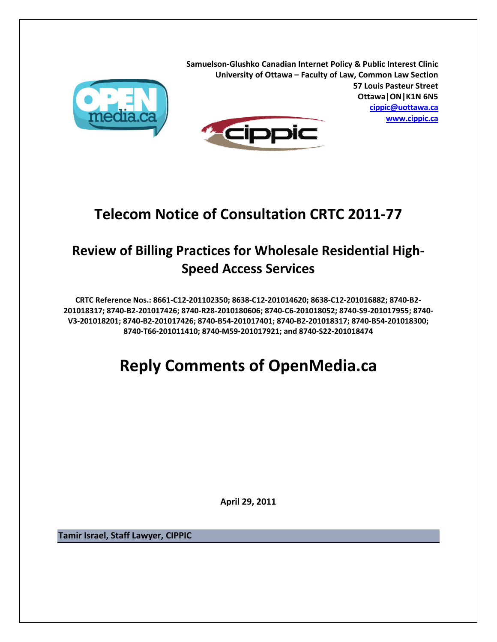

**Samuelson‐Glushko Canadian Internet Policy & Public Interest Clinic University of Ottawa – Faculty of Law, Common Law Section 57 Louis Pasteur Street Ottawa|ON|K1N 6N5 cippic@uottawa.ca www.cippic.ca**



## **Telecom Notice of Consultation CRTC 2011‐77**

## **Review of Billing Practices for Wholesale Residential High‐ Speed Access Services**

CRTC Reference Nos.: 8661-C12-201102350; 8638-C12-201014620; 8638-C12-201016882; 8740-B2-201018317; 8740-B2-201017426; 8740-R28-2010180606; 8740-C6-201018052; 8740-S9-201017955; 8740-V3-201018201; 8740-B2-201017426; 8740-B54-201017401; 8740-B2-201018317; 8740-B54-201018300; **8740‐T66‐201011410; 8740‐M59‐201017921; and 8740‐S22‐201018474**

# **Reply Comments of OpenMedia.ca**

**April 29, 2011**

**Tamir Israel, Staff Lawyer, CIPPIC**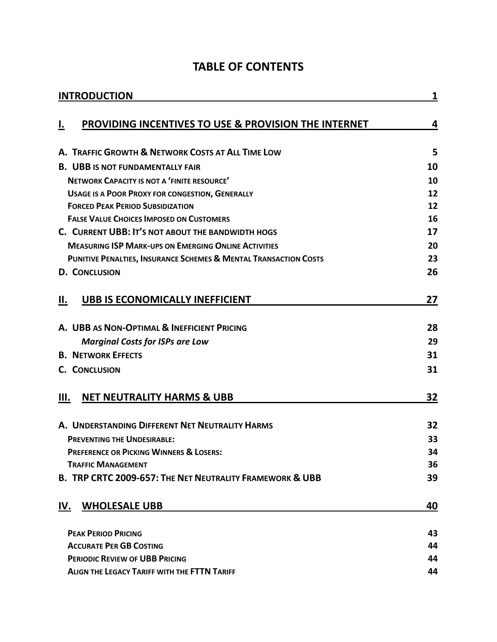|  |  |  | <b>TABLE OF CONTENTS</b> |  |
|--|--|--|--------------------------|--|
|--|--|--|--------------------------|--|

| <b>INTRODUCTION</b>                                                         |    |  |
|-----------------------------------------------------------------------------|----|--|
| PROVIDING INCENTIVES TO USE & PROVISION THE INTERNET<br><u>ı.</u>           | 4  |  |
|                                                                             |    |  |
| A. TRAFFIC GROWTH & NETWORK COSTS AT ALL TIME LOW                           | 5  |  |
| <b>B. UBB IS NOT FUNDAMENTALLY FAIR</b>                                     | 10 |  |
| NETWORK CAPACITY IS NOT A 'FINITE RESOURCE'                                 | 10 |  |
| <b>USAGE IS A POOR PROXY FOR CONGESTION, GENERALLY</b>                      | 12 |  |
| <b>FORCED PEAK PERIOD SUBSIDIZATION</b>                                     | 12 |  |
| <b>FALSE VALUE CHOICES IMPOSED ON CUSTOMERS</b>                             | 16 |  |
| C. CURRENT UBB: IT'S NOT ABOUT THE BANDWIDTH HOGS                           | 17 |  |
| <b>MEASURING ISP MARK-UPS ON EMERGING ONLINE ACTIVITIES</b>                 | 20 |  |
| <b>PUNITIVE PENALTIES, INSURANCE SCHEMES &amp; MENTAL TRANSACTION COSTS</b> | 23 |  |
| <b>D. CONCLUSION</b>                                                        | 26 |  |
| <b>UBB IS ECONOMICALLY INEFFICIENT</b><br>Н.                                | 27 |  |
| A. UBB AS NON-OPTIMAL & INEFFICIENT PRICING                                 | 28 |  |
| <b>Marginal Costs for ISPs are Low</b>                                      | 29 |  |
| <b>B. NETWORK EFFECTS</b>                                                   | 31 |  |
| <b>C. CONCLUSION</b>                                                        | 31 |  |
|                                                                             |    |  |
| <b>NET NEUTRALITY HARMS &amp; UBB</b><br>Ш.                                 | 32 |  |
| A. UNDERSTANDING DIFFERENT NET NEUTRALITY HARMS                             | 32 |  |
| <b>PREVENTING THE UNDESIRABLE:</b>                                          |    |  |
| <b>PREFERENCE OR PICKING WINNERS &amp; LOSERS:</b>                          | 34 |  |
| <b>TRAFFIC MANAGEMENT</b>                                                   | 36 |  |
| B. TRP CRTC 2009-657: THE NET NEUTRALITY FRAMEWORK & UBB                    | 39 |  |
| <b>WHOLESALE UBB</b><br>IV.                                                 | 40 |  |
| <b>PEAK PERIOD PRICING</b>                                                  | 43 |  |
| <b>ACCURATE PER GB COSTING</b>                                              |    |  |
| <b>PERIODIC REVIEW OF UBB PRICING</b>                                       | 44 |  |
| <b>ALIGN THE LEGACY TARIFF WITH THE FTTN TARIFF</b>                         | 44 |  |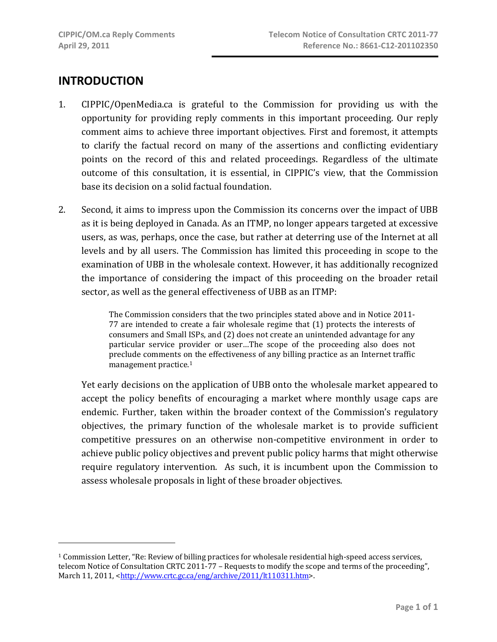## **INTRODUCTION**

- 1. CIPPIC/OpenMedia.ca is grateful to the Commission for providing us with the opportunity for providing reply comments in this important proceeding. Our reply comment aims to achieve three important objectives. First and foremost, it attempts to clarify the factual record on many of the assertions and conflicting evidentiary points on the record of this and related proceedings. Regardless of the ultimate outcome of this consultation, it is essential, in CIPPIC's view, that the Commission base its decision on a solid factual foundation.
- 2. Second, it aims to impress upon the Commission its concerns over the impact of UBB as it is being deployed in Canada. As an ITMP, no longer appears targeted at excessive users, as was, perhaps, once the case, but rather at deterring use of the Internet at all levels and by all users. The Commission has limited this proceeding in scope to the examination of UBB in the wholesale context. However, it has additionally recognized the importance of considering the impact of this proceeding on the broader retail sector, as well as the general effectiveness of UBB as an ITMP:

The Commission considers that the two principles stated above and in Notice 2011‐  $77$  are intended to create a fair wholesale regime that  $(1)$  protects the interests of consumers and Small ISPs, and (2) does not create an unintended advantage for any particular service provider or user…The scope of the proceeding also does not preclude comments on the effectiveness of any billing practice as an Internet traffic management practice.1

Yet early decisions on the application of UBB onto the wholesale market appeared to accept the policy benefits of encouraging a market where monthly usage caps are endemic. Further, taken within the broader context of the Commission's regulatory objectives, the primary function of the wholesale market is to provide sufficient competitive pressures on an otherwise non‐competitive environment in order to achieve public policy objectives and prevent public policy harms that might otherwise require regulatory intervention. As such, it is incumbent upon the Commission to assess wholesale proposals in light of these broader objectives.

<sup>1</sup> Commission Letter, "Re: Review of billing practices for wholesale residential high‐speed access services, telecom Notice of Consultation CRTC 2011‐77 – Requests to modify the scope and terms of the proceeding", March 11, 2011, <http://www.crtc.gc.ca/eng/archive/2011/lt110311.htm>.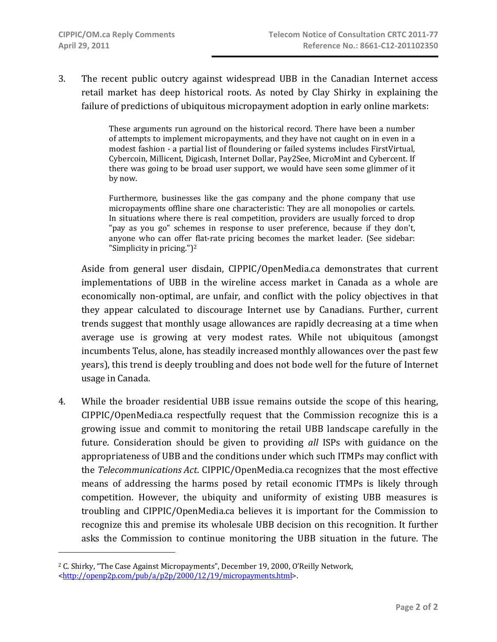3. The recent public outcry against widespread UBB in the Canadian Internet access retail market has deep historical roots. As noted by Clay Shirky in explaining the failure of predictions of ubiquitous micropayment adoption in early online markets:

> These arguments run aground on the historical record. There have been a number of attempts to implement micropayments, and they have not caught on in even in a modest fashion ‐ a partial list of floundering or failed systems includes FirstVirtual, Cybercoin, Millicent, Digicash, Internet Dollar, Pay2See, MicroMint and Cybercent. If there was going to be broad user support, we would have seen some glimmer of it by now.

> Furthermore, businesses like the gas company and the phone company that use micropayments offline share one characteristic: They are all monopolies or cartels. In situations where there is real competition, providers are usually forced to drop "pay as you go" schemes in response to user preference, because if they don't, anyone who can offer flat-rate pricing becomes the market leader. (See sidebar: "Simplicity in pricing.")2

Aside from general user disdain, CIPPIC/OpenMedia.ca demonstrates that current implementations of UBB in the wireline access market in Canada as a whole are economically non-optimal, are unfair, and conflict with the policy objectives in that they appear calculated to discourage Internet use by Canadians. Further, current trends suggest that monthly usage allowances are rapidly decreasing at a time when average use is growing at very modest rates. While not ubiquitous (amongst incumbents Telus, alone, has steadily increased monthly allowances over the past few years), this trend is deeply troubling and does not bode well for the future of Internet usage in Canada.

4. While the broader residential UBB issue remains outside the scope of this hearing, CIPPIC/OpenMedia.ca respectfully request that the Commission recognize this is a growing issue and commit to monitoring the retail UBB landscape carefully in the future. Consideration should be given to providing *all* ISPs with guidance on the appropriateness of UBB and the conditions under which such ITMPs may conflict with the *Telecommunications Act*. CIPPIC/OpenMedia.ca recognizes that the most effective means of addressing the harms posed by retail economic ITMPs is likely through competition. However, the ubiquity and uniformity of existing UBB measures is troubling and CIPPIC/OpenMedia.ca believes it is important for the Commission to recognize this and premise its wholesale UBB decision on this recognition. It further asks the Commission to continue monitoring the UBB situation in the future. The

 $\overline{a}$ 

<sup>2</sup> C. Shirky, "The Case Against Micropayments", December 19, 2000, O'Reilly Network, <http://openp2p.com/pub/a/p2p/2000/12/19/micropayments.html>.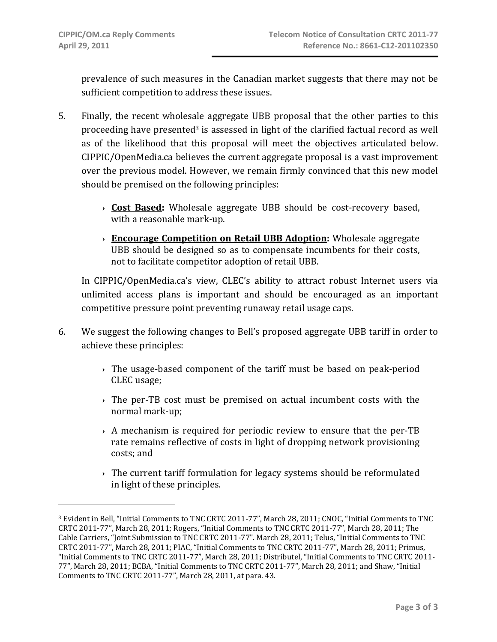prevalence of such measures in the Canadian market suggests that there may not be sufficient competition to address these issues.

- 5. Finally, the recent wholesale aggregate UBB proposal that the other parties to this proceeding have presented<sup>3</sup> is assessed in light of the clarified factual record as well as of the likelihood that this proposal will meet the objectives articulated below. CIPPIC/OpenMedia.ca believes the current aggregate proposal is a vast improvement over the previous model. However, we remain firmly convinced that this new model should be premised on the following principles:
	- **› Cost Based:** Wholesale aggregate UBB should be cost‐recovery based, with a reasonable mark‐up.
	- **› Encourage Competition on Retail UBB Adoption:** Wholesale aggregate UBB should be designed so as to compensate incumbents for their costs, not to facilitate competitor adoption of retail UBB.

In CIPPIC/OpenMedia.ca's view, CLEC's ability to attract robust Internet users via unlimited access plans is important and should be encouraged as an important competitive pressure point preventing runaway retail usage caps.

- 6. We suggest the following changes to Bell's proposed aggregate UBB tariff in order to achieve these principles:
	- **›** The usage‐based component of the tariff must be based on peak‐period CLEC usage;
	- **›** The per‐TB cost must be premised on actual incumbent costs with the normal mark‐up;
	- **›** A mechanism is required for periodic review to ensure that the per‐TB rate remains reflective of costs in light of dropping network provisioning costs; and
	- **›** The current tariff formulation for legacy systems should be reformulated in light of these principles.

<sup>3</sup> Evident in Bell, "Initial Comments to TNC CRTC 2011‐77", March 28, 2011; CNOC, "Initial Comments to TNC CRTC 2011‐77", March 28, 2011; Rogers, "Initial Comments to TNC CRTC 2011‐77", March 28, 2011; The Cable Carriers, "Joint Submission to TNC CRTC 2011‐77". March 28, 2011; Telus, "Initial Comments to TNC CRTC 2011‐77", March 28, 2011; PIAC, "Initial Comments to TNC CRTC 2011‐77", March 28, 2011; Primus, "Initial Comments to TNC CRTC 2011‐77", March 28, 2011; Distributel, "Initial Comments to TNC CRTC 2011‐ 77", March 28, 2011; BCBA, "Initial Comments to TNC CRTC 2011‐77", March 28, 2011; and Shaw, "Initial Comments to TNC CRTC 2011‐77", March 28, 2011, at para. 43.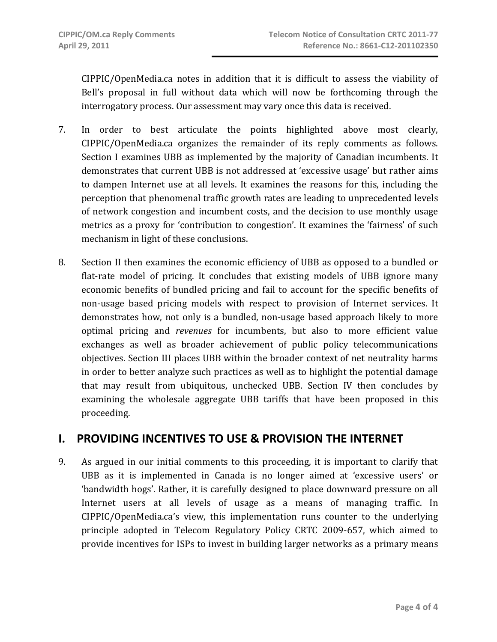CIPPIC/OpenMedia.ca notes in addition that it is difficult to assess the viability of Bell's proposal in full without data which will now be forthcoming through the interrogatory process. Our assessment may vary once this data is received.

- 7. In order to best articulate the points highlighted above most clearly, CIPPIC/OpenMedia.ca organizes the remainder of its reply comments as follows. Section I examines UBB as implemented by the majority of Canadian incumbents. It demonstrates that current UBB is not addressed at 'excessive usage' but rather aims to dampen Internet use at all levels. It examines the reasons for this, including the perception that phenomenal traffic growth rates are leading to unprecedented levels of network congestion and incumbent costs, and the decision to use monthly usage metrics as a proxy for 'contribution to congestion'. It examines the 'fairness' of such mechanism in light of these conclusions.
- 8. Section II then examines the economic efficiency of UBB as opposed to a bundled or flat-rate model of pricing. It concludes that existing models of UBB ignore many economic benefits of bundled pricing and fail to account for the specific benefits of non‐usage based pricing models with respect to provision of Internet services. It demonstrates how, not only is a bundled, non‐usage based approach likely to more optimal pricing and *revenues* for incumbents, but also to more efficient value exchanges as well as broader achievement of public policy telecommunications objectives. Section III places UBB within the broader context of net neutrality harms in order to better analyze such practices as well as to highlight the potential damage that may result from ubiquitous, unchecked UBB. Section IV then concludes by examining the wholesale aggregate UBB tariffs that have been proposed in this proceeding.

## **I. PROVIDING INCENTIVES TO USE & PROVISION THE INTERNET**

9. As argued in our initial comments to this proceeding, it is important to clarify that UBB as it is implemented in Canada is no longer aimed at 'excessive users' or 'bandwidth hogs'. Rather, it is carefully designed to place downward pressure on all Internet users at all levels of usage as a means of managing traffic. In CIPPIC/OpenMedia.ca's view, this implementation runs counter to the underlying principle adopted in Telecom Regulatory Policy CRTC 2009‐657, which aimed to provide incentives for ISPs to invest in building larger networks as a primary means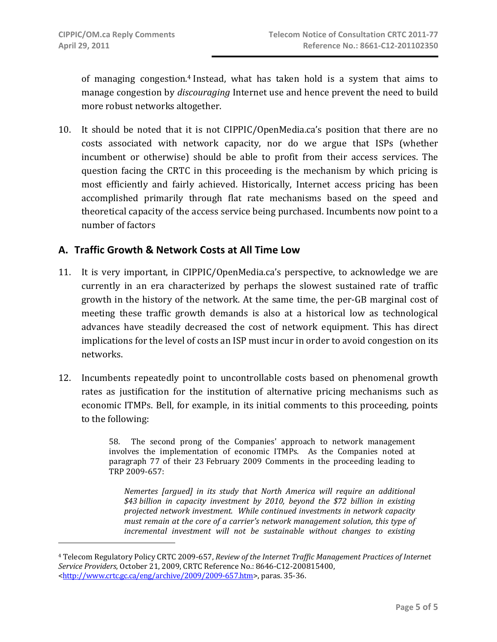of managing congestion.4 Instead, what has taken hold is a system that aims to manage congestion by *discouraging* Internet use and hence prevent the need to build more robust networks altogether.

10. It should be noted that it is not CIPPIC/OpenMedia.ca's position that there are no costs associated with network capacity, nor do we argue that ISPs (whether incumbent or otherwise) should be able to profit from their access services. The question facing the CRTC in this proceeding is the mechanism by which pricing is most efficiently and fairly achieved. Historically, Internet access pricing has been accomplished primarily through flat rate mechanisms based on the speed and theoretical capacity of the access service being purchased. Incumbents now point to a number of factors

## **A. Traffic Growth & Network Costs at All Time Low**

- 11. It is very important, in CIPPIC/OpenMedia.ca's perspective, to acknowledge we are currently in an era characterized by perhaps the slowest sustained rate of traffic growth in the history of the network. At the same time, the per‐GB marginal cost of meeting these traffic growth demands is also at a historical low as technological advances have steadily decreased the cost of network equipment. This has direct implications for the level of costs an ISP must incur in order to avoid congestion on its networks.
- 12. Incumbents repeatedly point to uncontrollable costs based on phenomenal growth rates as justification for the institution of alternative pricing mechanisms such as economic ITMPs. Bell, for example, in its initial comments to this proceeding, points to the following:

58. The second prong of the Companies' approach to network management involves the implementation of economic ITMPs. As the Companies noted at paragraph 77 of their 23 February 2009 Comments in the proceeding leading to TRP 2009‐657:

*Nemertes [argued] in its study that North America will require an additional \$43 billion in capacity investment by 2010, beyond the \$72 billion in existing projected network investment. While continued investments in network capacity must remain at the core of a carrier's network management solution, this type of incremental investment will not be sustainable without changes to existing*

<sup>4</sup> Telecom Regulatory Policy CRTC 2009‐657, *Review of the Internet Traffic Management Practices of Internet Service Providers*, October 21, 2009, CRTC Reference No.: 8646‐C12‐200815400, <http://www.crtc.gc.ca/eng/archive/2009/2009‐657.htm>, paras. 35‐36.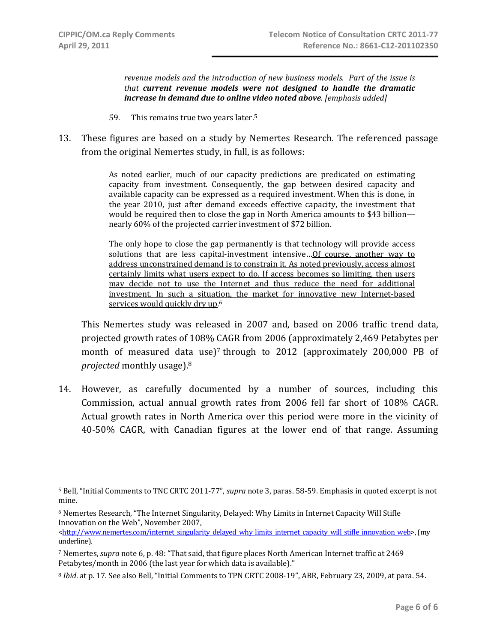*revenue models and the introduction of new business models. Part of the issue is that current revenue models were not designed to handle the dramatic increase in demand due to online video noted above. [emphasis added]*

- 59. This remains true two years later.5
- 13. These figures are based on a study by Nemertes Research. The referenced passage from the original Nemertes study, in full, is as follows:

As noted earlier, much of our capacity predictions are predicated on estimating capacity from investment. Consequently, the gap between desired capacity and available capacity can be expressed as a required investment. When this is done, in the year 2010, just after demand exceeds effective capacity, the investment that would be required then to close the gap in North America amounts to \$43 billion nearly 60% of the projected carrier investment of \$72 billion.

The only hope to close the gap permanently is that technology will provide access solutions that are less capital-investment intensive... Of course, another way to address unconstrained demand is to constrain it. As noted previously, access almost certainly limits what users expect to do. If access becomes so limiting, then users may decide not to use the Internet and thus reduce the need for additional investment. In such a situation, the market for innovative new Internet-based services would quickly dry up. 6

This Nemertes study was released in 2007 and, based on 2006 traffic trend data, projected growth rates of 108% CAGR from 2006 (approximately 2,469 Petabytes per month of measured data use)<sup>7</sup> through to 2012 (approximately 200,000 PB of *projected* monthly usage).8

14. However, as carefully documented by a number of sources, including this Commission, actual annual growth rates from 2006 fell far short of 108% CAGR. Actual growth rates in North America over this period were more in the vicinity of 40‐50% CAGR, with Canadian figures at the lower end of that range. Assuming

<sup>5</sup> Bell, "Initial Comments to TNC CRTC 2011‐77", *supra* note 3, paras. 58‐59. Emphasis in quoted excerpt is not mine.

<sup>6</sup> Nemertes Research, "The Internet Singularity, Delayed: Why Limits in Internet Capacity Will Stifle Innovation on the Web", November 2007,

<sup>&</sup>lt;http://www.nemertes.com/internet\_singularity\_delayed\_why\_limits\_internet\_capacity\_will\_stifle\_innovation\_web>, (my underline).

<sup>7</sup> Nemertes, *supra* note 6, p. 48: "That said, that figure places North American Internet traffic at 2469 Petabytes/month in 2006 (the last year for which data is available)."

<sup>&</sup>lt;sup>8</sup> *Ibid.* at p. 17. See also Bell, "Initial Comments to TPN CRTC 2008-19", ABR, February 23, 2009, at para. 54.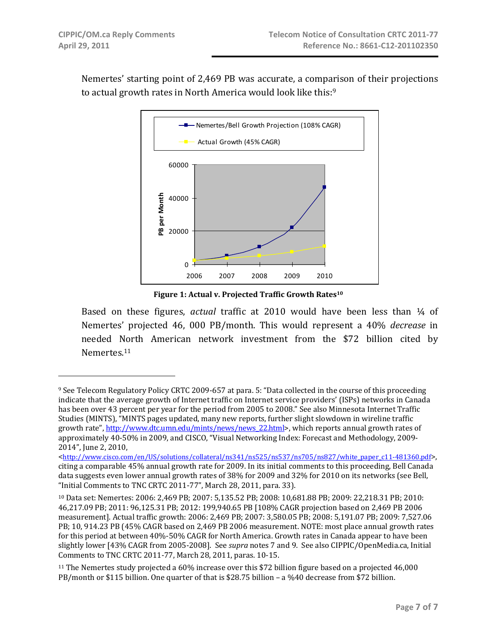Nemertes' starting point of 2,469 PB was accurate, a comparison of their projections to actual growth rates in North America would look like this:<sup>9</sup>



**Figure 1: Actual v. Projected Traffic Growth Rates10**

Based on these figures, *actual* traffic at 2010 would have been less than ¼ of Nemertes' projected 46, 000 PB/month. This would represent a 40% *decrease* in needed North American network investment from the \$72 billion cited by Nemertes.11

<sup>9</sup> See Telecom Regulatory Policy CRTC 2009‐657 at para. 5: "Data collected in the course of this proceeding indicate that the average growth of Internet traffic on Internet service providers' (ISPs) networks in Canada has been over 43 percent per year for the period from 2005 to 2008." See also Minnesota Internet Traffic Studies (MINTS), "MINTS pages updated, many new reports, further slight slowdown in wireline traffic growth rate", http://www.dtc.umn.edu/mints/news/news\_22.html>, which reports annual growth rates of approximately 40‐50% in 2009, and CISCO, "Visual Networking Index: Forecast and Methodology, 2009‐ 2014", June 2, 2010,

<sup>&</sup>lt;http://www.cisco.com/en/US/solutions/collateral/ns341/ns525/ns537/ns705/ns827/white\_paper\_c11-481360.pdf>, citing a comparable 45% annual growth rate for 2009. In its initial comments to this proceeding, Bell Canada data suggests even lower annual growth rates of 38% for 2009 and 32% for 2010 on its networks (see Bell, "Initial Comments to TNC CRTC 2011‐77", March 28, 2011, para. 33).

<sup>10</sup> Data set: Nemertes: 2006: 2,469 PB; 2007: 5,135.52 PB; 2008: 10,681.88 PB; 2009: 22,218.31 PB; 2010: 46,217.09 PB; 2011: 96,125.31 PB; 2012: 199,940.65 PB [108% CAGR projection based on 2,469 PB 2006 measurement]. Actual traffic growth: 2006: 2,469 PB; 2007: 3,580.05 PB; 2008: 5,191.07 PB; 2009: 7,527.06 PB; 10, 914.23 PB (45% CAGR based on 2,469 PB 2006 measurement. NOTE: most place annual growth rates for this period at between 40%-50% CAGR for North America. Growth rates in Canada appear to have been slightly lower [43% CAGR from 2005‐2008]. See *supra* notes 7 and 9. See also CIPPIC/OpenMedia.ca, Initial Comments to TNC CRTC 2011‐77, March 28, 2011, paras. 10‐15.

<sup>11</sup> The Nemertes study projected a 60% increase over this \$72 billion figure based on a projected 46,000 PB/month or \$115 billion. One quarter of that is \$28.75 billion – a %40 decrease from \$72 billion.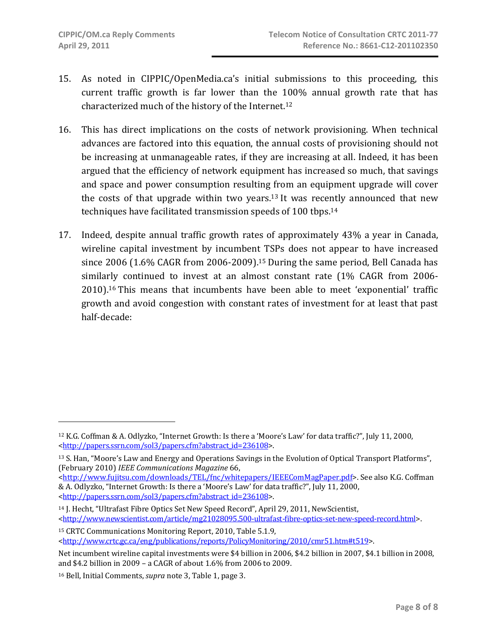- 15. As noted in CIPPIC/OpenMedia.ca's initial submissions to this proceeding, this current traffic growth is far lower than the 100% annual growth rate that has characterized much of the history of the Internet.12
- 16. This has direct implications on the costs of network provisioning. When technical advances are factored into this equation, the annual costs of provisioning should not be increasing at unmanageable rates, if they are increasing at all. Indeed, it has been argued that the efficiency of network equipment has increased so much, that savings and space and power consumption resulting from an equipment upgrade will cover the costs of that upgrade within two years.<sup>13</sup> It was recently announced that new techniques have facilitated transmission speeds of 100 tbps.14
- 17. Indeed, despite annual traffic growth rates of approximately 43% a year in Canada, wireline capital investment by incumbent TSPs does not appear to have increased since 2006 (1.6% CAGR from 2006-2009).<sup>15</sup> During the same period, Bell Canada has similarly continued to invest at an almost constant rate (1% CAGR from 2006-2010).16 This means that incumbents have been able to meet 'exponential' traffic growth and avoid congestion with constant rates of investment for at least that past half‐decade:

<sup>12</sup> K.G. Coffman & A. Odlyzko, "Internet Growth: Is there a 'Moore's Law' for data traffic?", July 11, 2000, <http://papers.ssrn.com/sol3/papers.cfm?abstract\_id=236108>.

<sup>13</sup> S. Han, "Moore's Law and Energy and Operations Savings in the Evolution of Optical Transport Platforms", (February 2010) *IEEE Communications Magazine* 66,

<sup>&</sup>lt;http://www.fujitsu.com/downloads/TEL/fnc/whitepapers/IEEEComMagPaper.pdf>. See also K.G. Coffman & A. Odlyzko, "Internet Growth: Is there a 'Moore's Law' for data traffic?", July 11, 2000, <http://papers.ssrn.com/sol3/papers.cfm?abstract\_id=236108>.

<sup>14</sup> J. Hecht, "Ultrafast Fibre Optics Set New Speed Record", April 29, 2011, NewScientist, <http://www.newscientist.com/article/mg21028095.500-ultrafast-fibre-optics-set-new-speed-record.html>.

<sup>15</sup> CRTC Communications Monitoring Report, 2010, Table 5.1.9, <http://www.crtc.gc.ca/eng/publications/reports/PolicyMonitoring/2010/cmr51.htm#t519>.

Net incumbent wireline capital investments were \$4 billion in 2006, \$4.2 billion in 2007, \$4.1 billion in 2008, and \$4.2 billion in 2009 – a CAGR of about 1.6% from 2006 to 2009.

<sup>16</sup> Bell, Initial Comments, *supra* note 3, Table 1, page 3.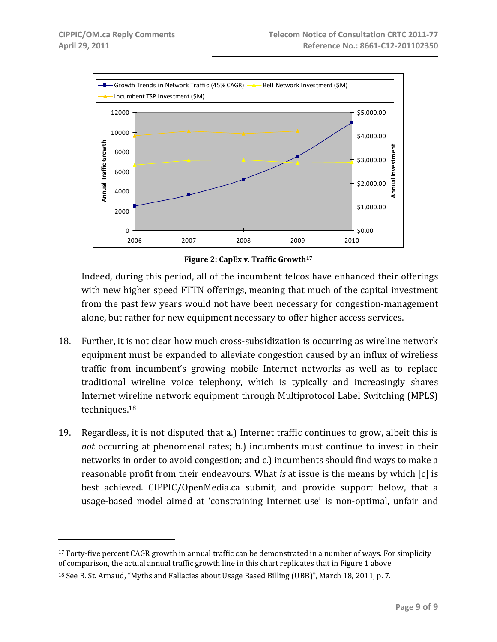$\overline{a}$ 



**Figure 2: CapEx v. Traffic Growth17**

Indeed, during this period, all of the incumbent telcos have enhanced their offerings with new higher speed FTTN offerings, meaning that much of the capital investment from the past few years would not have been necessary for congestion‐management alone, but rather for new equipment necessary to offer higher access services.

- 18. Further, it is not clear how much cross-subsidization is occurring as wireline network equipment must be expanded to alleviate congestion caused by an influx of wireliess traffic from incumbent's growing mobile Internet networks as well as to replace traditional wireline voice telephony, which is typically and increasingly shares Internet wireline network equipment through Multiprotocol Label Switching (MPLS) techniques.18
- 19. Regardless, it is not disputed that a.) Internet traffic continues to grow, albeit this is *not* occurring at phenomenal rates; b.) incumbents must continue to invest in their networks in order to avoid congestion; and c.) incumbents should find ways to make a reasonable profit from their endeavours. What *is* at issue is the means by which [c] is best achieved. CIPPIC/OpenMedia.ca submit, and provide support below, that a usage‐based model aimed at 'constraining Internet use' is non‐optimal, unfair and

<sup>&</sup>lt;sup>17</sup> Forty-five percent CAGR growth in annual traffic can be demonstrated in a number of ways. For simplicity of comparison, the actual annual traffic growth line in this chart replicates that in Figure 1 above.

<sup>18</sup> See B. St. Arnaud, "Myths and Fallacies about Usage Based Billing (UBB)", March 18, 2011, p. 7.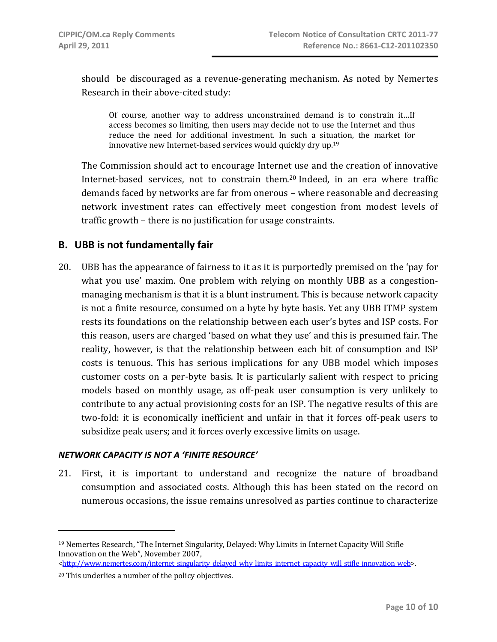should be discouraged as a revenue-generating mechanism. As noted by Nemertes Research in their above‐cited study:

Of course, another way to address unconstrained demand is to constrain it…If access becomes so limiting, then users may decide not to use the Internet and thus reduce the need for additional investment. In such a situation, the market for innovative new Internet-based services would quickly dry up.<sup>19</sup>

The Commission should act to encourage Internet use and the creation of innovative Internet-based services, not to constrain them.<sup>20</sup> Indeed, in an era where traffic demands faced by networks are far from onerous – where reasonable and decreasing network investment rates can effectively meet congestion from modest levels of traffic growth – there is no justification for usage constraints.

## **B. UBB is not fundamentally fair**

20. UBB has the appearance of fairness to it as it is purportedly premised on the 'pay for what you use' maxim. One problem with relying on monthly UBB as a congestionmanaging mechanism is that it is a blunt instrument. This is because network capacity is not a finite resource, consumed on a byte by byte basis. Yet any UBB ITMP system rests its foundations on the relationship between each user's bytes and ISP costs. For this reason, users are charged 'based on what they use' and this is presumed fair. The reality, however, is that the relationship between each bit of consumption and ISP costs is tenuous. This has serious implications for any UBB model which imposes customer costs on a per‐byte basis. It is particularly salient with respect to pricing models based on monthly usage, as off‐peak user consumption is very unlikely to contribute to any actual provisioning costs for an ISP. The negative results of this are two‐fold: it is economically inefficient and unfair in that it forces off‐peak users to subsidize peak users; and it forces overly excessive limits on usage.

#### *NETWORK CAPACITY IS NOT A 'FINITE RESOURCE'*

21. First, it is important to understand and recognize the nature of broadband consumption and associated costs. Although this has been stated on the record on numerous occasions, the issue remains unresolved as parties continue to characterize

<sup>19</sup> Nemertes Research, "The Internet Singularity, Delayed: Why Limits in Internet Capacity Will Stifle Innovation on the Web", November 2007,

<sup>&</sup>lt;http://www.nemertes.com/internet\_singularity\_delayed\_why\_limits\_internet\_capacity\_will\_stifle\_innovation\_web>.

<sup>20</sup> This underlies a number of the policy objectives.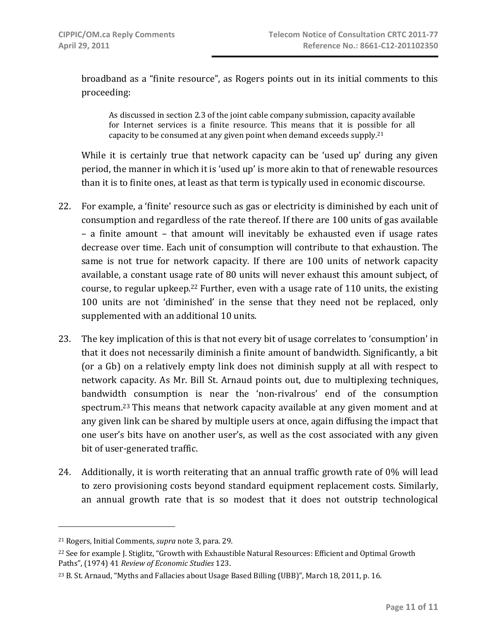broadband as a "finite resource", as Rogers points out in its initial comments to this proceeding:

As discussed in section 2.3 of the joint cable company submission, capacity available for Internet services is a finite resource. This means that it is possible for all capacity to be consumed at any given point when demand exceeds supply.21

While it is certainly true that network capacity can be 'used up' during any given period, the manner in which it is 'used up' is more akin to that of renewable resources than it is to finite ones, at least as that term is typically used in economic discourse.

- 22. For example, a 'finite' resource such as gas or electricity is diminished by each unit of consumption and regardless of the rate thereof. If there are 100 units of gas available – a finite amount – that amount will inevitably be exhausted even if usage rates decrease over time. Each unit of consumption will contribute to that exhaustion. The same is not true for network capacity. If there are 100 units of network capacity available, a constant usage rate of 80 units will never exhaust this amount subject, of course, to regular upkeep.<sup>22</sup> Further, even with a usage rate of 110 units, the existing 100 units are not 'diminished' in the sense that they need not be replaced, only supplemented with an additional 10 units.
- 23. The key implication of this is that not every bit of usage correlates to 'consumption' in that it does not necessarily diminish a finite amount of bandwidth. Significantly, a bit (or a Gb) on a relatively empty link does not diminish supply at all with respect to network capacity. As Mr. Bill St. Arnaud points out, due to multiplexing techniques, bandwidth consumption is near the 'non‐rivalrous' end of the consumption spectrum.23 This means that network capacity available at any given moment and at any given link can be shared by multiple users at once, again diffusing the impact that one user's bits have on another user's, as well as the cost associated with any given bit of user‐generated traffic.
- 24. Additionally, it is worth reiterating that an annual traffic growth rate of 0% will lead to zero provisioning costs beyond standard equipment replacement costs. Similarly, an annual growth rate that is so modest that it does not outstrip technological

 $\overline{a}$ 

<sup>21</sup> Rogers, Initial Comments, *supra* note 3, para. 29.

<sup>22</sup> See for example J. Stiglitz, "Growth with Exhaustible Natural Resources: Efficient and Optimal Growth Paths", (1974) 41 *Review of Economic Studies* 123.

<sup>23</sup> B. St. Arnaud, "Myths and Fallacies about Usage Based Billing (UBB)", March 18, 2011, p. 16.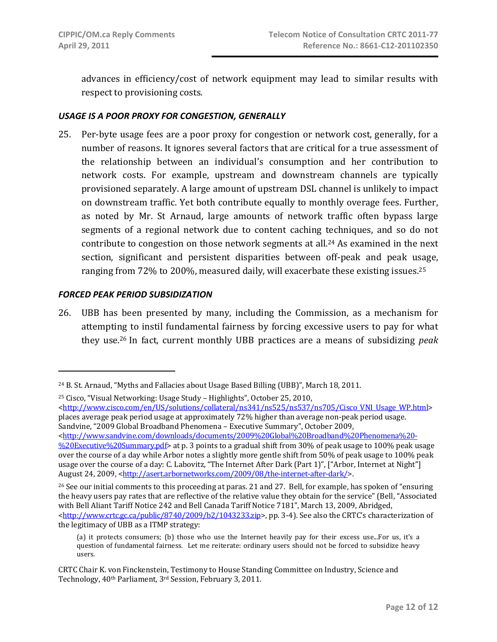advances in efficiency/cost of network equipment may lead to similar results with respect to provisioning costs.

### *USAGE IS A POOR PROXY FOR CONGESTION, GENERALLY*

25. Per‐byte usage fees are a poor proxy for congestion or network cost, generally, for a number of reasons. It ignores several factors that are critical for a true assessment of the relationship between an individual's consumption and her contribution to network costs. For example, upstream and downstream channels are typically provisioned separately. A large amount of upstream DSL channel is unlikely to impact on downstream traffic. Yet both contribute equally to monthly overage fees. Further, as noted by Mr. St Arnaud, large amounts of network traffic often bypass large segments of a regional network due to content caching techniques, and so do not contribute to congestion on those network segments at all.24 As examined in the next section, significant and persistent disparities between off-peak and peak usage, ranging from 72% to 200%, measured daily, will exacerbate these existing issues.25

#### *FORCED PEAK PERIOD SUBSIDIZATION*

 $\overline{a}$ 

26. UBB has been presented by many, including the Commission, as a mechanism for attempting to instil fundamental fairness by forcing excessive users to pay for what they use.26 In fact, current monthly UBB practices are a means of subsidizing *peak*

25 Cisco, "Visual Networking: Usage Study – Highlights", October 25, 2010,

<http://www.cisco.com/en/US/solutions/collateral/ns341/ns525/ns537/ns705/Cisco\_VNI\_Usage\_WP.html> places average peak period usage at approximately 72% higher than average non‐peak period usage. Sandvine, "2009 Global Broadband Phenomena – Executive Summary", October 2009,

<sup>26</sup> See our initial comments to this proceeding at paras. 21 and 27. Bell, for example, has spoken of "ensuring" the heavy users pay rates that are reflective of the relative value they obtain for the service" (Bell, "Associated with Bell Aliant Tariff Notice 242 and Bell Canada Tariff Notice 7181", March 13, 2009, Abridged, <http://www.crtc.gc.ca/public/8740/2009/b2/1043233.zip>, pp. 3‐4). See also the CRTC's characterization of the legitimacy of UBB as a ITMP strategy:

<sup>&</sup>lt;sup>24</sup> B. St. Arnaud, "Myths and Fallacies about Usage Based Billing (UBB)", March 18, 2011.

<sup>&</sup>lt;http://www.sandvine.com/downloads/documents/2009%20Global%20Broadband%20Phenomena%20‐ %20Executive%20Summary.pdf> at p. 3 points to a gradual shift from 30% of peak usage to 100% peak usage over the course of a day while Arbor notes a slightly more gentle shift from 50% of peak usage to 100% peak usage over the course of a day: C. Labovitz, "The Internet After Dark (Part 1)", ["Arbor, Internet at Night"] August 24, 2009, <http://asert.arbornetworks.com/2009/08/the-internet-after-dark/>.

<sup>(</sup>a) it protects consumers; (b) those who use the Internet heavily pay for their excess use...For us, it's a question of fundamental fairness. Let me reiterate: ordinary users should not be forced to subsidize heavy users.

CRTC Chair K. von Finckenstein, Testimony to House Standing Committee on Industry, Science and Technology, 40th Parliament, 3rd Session, February 3, 2011.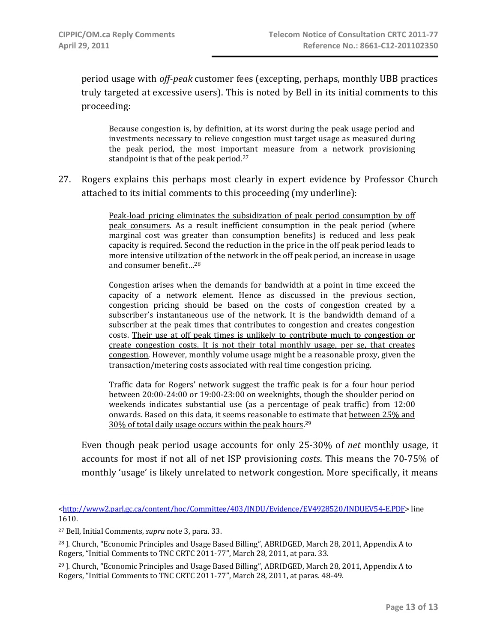period usage with *offpeak* customer fees (excepting, perhaps, monthly UBB practices truly targeted at excessive users). This is noted by Bell in its initial comments to this proceeding:

Because congestion is, by definition, at its worst during the peak usage period and investments necessary to relieve congestion must target usage as measured during the peak period, the most important measure from a network provisioning standpoint is that of the peak period.<sup>27</sup>

27. Rogers explains this perhaps most clearly in expert evidence by Professor Church attached to its initial comments to this proceeding (my underline):

> Peak-load pricing eliminates the subsidization of peak period consumption by off peak consumers. As a result inefficient consumption in the peak period (where marginal cost was greater than consumption benefits) is reduced and less peak capacity is required. Second the reduction in the price in the off peak period leads to more intensive utilization of the network in the off peak period, an increase in usage and consumer benefit…28

> Congestion arises when the demands for bandwidth at a point in time exceed the capacity of a network element. Hence as discussed in the previous section, congestion pricing should be based on the costs of congestion created by a subscriber's instantaneous use of the network. It is the bandwidth demand of a subscriber at the peak times that contributes to congestion and creates congestion costs. Their use at off peak times is unlikely to contribute much to congestion or create congestion costs. It is not their total monthly usage, per se, that creates congestion. However, monthly volume usage might be a reasonable proxy, given the transaction/metering costs associated with real time congestion pricing.

> Traffic data for Rogers' network suggest the traffic peak is for a four hour period between 20:00‐24:00 or 19:00‐23:00 on weeknights, though the shoulder period on weekends indicates substantial use (as a percentage of peak traffic) from 12:00 onwards. Based on this data, it seems reasonable to estimate that between 25% and 30% of total daily usage occurs within the peak hours. 29

Even though peak period usage accounts for only 25‐30% of *net* monthly usage, it accounts for most if not all of net ISP provisioning *costs*. This means the 70‐75% of monthly 'usage' is likely unrelated to network congestion. More specifically, it means

<sup>&</sup>lt;http://www2.parl.gc.ca/content/hoc/Committee/403/INDU/Evidence/EV4928520/INDUEV54‐E.PDF> line 1610.

<sup>27</sup> Bell, Initial Comments, *supra* note 3, para. 33.

<sup>&</sup>lt;sup>28</sup> J. Church, "Economic Principles and Usage Based Billing", ABRIDGED, March 28, 2011, Appendix A to Rogers, "Initial Comments to TNC CRTC 2011‐77", March 28, 2011, at para. 33.

<sup>&</sup>lt;sup>29</sup> J. Church, "Economic Principles and Usage Based Billing", ABRIDGED, March 28, 2011, Appendix A to Rogers, "Initial Comments to TNC CRTC 2011‐77", March 28, 2011, at paras. 48‐49.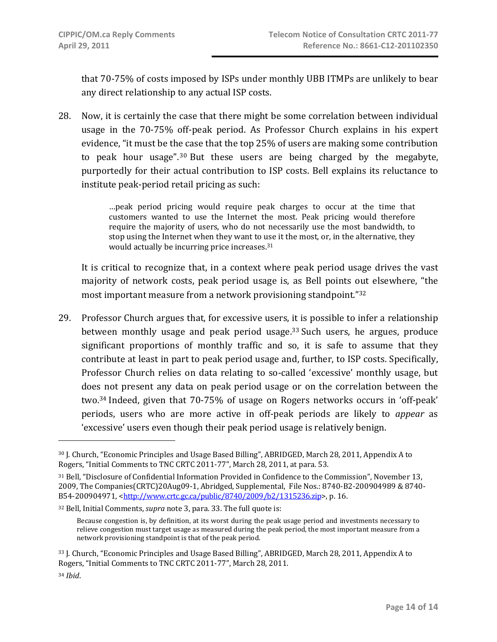that 70‐75% of costs imposed by ISPs under monthly UBB ITMPs are unlikely to bear any direct relationship to any actual ISP costs.

28. Now, it is certainly the case that there might be some correlation between individual usage in the 70‐75% off‐peak period. As Professor Church explains in his expert evidence, "it must be the case that the top 25% of users are making some contribution to peak hour usage".30 But these users are being charged by the megabyte, purportedly for their actual contribution to ISP costs. Bell explains its reluctance to institute peak‐period retail pricing as such:

> …peak period pricing would require peak charges to occur at the time that customers wanted to use the Internet the most. Peak pricing would therefore require the majority of users, who do not necessarily use the most bandwidth, to stop using the Internet when they want to use it the most, or, in the alternative, they would actually be incurring price increases.31

It is critical to recognize that, in a context where peak period usage drives the vast majority of network costs, peak period usage is, as Bell points out elsewhere, "the most important measure from a network provisioning standpoint."32

29. Professor Church argues that, for excessive users, it is possible to infer a relationship between monthly usage and peak period usage.<sup>33</sup> Such users, he argues, produce significant proportions of monthly traffic and so, it is safe to assume that they contribute at least in part to peak period usage and, further, to ISP costs. Specifically, Professor Church relies on data relating to so-called 'excessive' monthly usage, but does not present any data on peak period usage or on the correlation between the two.34 Indeed, given that 70‐75% of usage on Rogers networks occurs in 'off‐peak' periods, users who are more active in off‐peak periods are likely to *appear* as 'excessive' users even though their peak period usage is relatively benign.

<sup>30</sup> J. Church, "Economic Principles and Usage Based Billing", ABRIDGED, March 28, 2011, Appendix A to Rogers, "Initial Comments to TNC CRTC 2011‐77", March 28, 2011, at para. 53.

<sup>31</sup> Bell, "Disclosure of Confidential Information Provided in Confidence to the Commission", November 13, 2009, The Companies(CRTC)20Aug09‐1, Abridged, Supplemental, File Nos.: 8740‐B2‐200904989 & 8740‐ B54‐200904971, <http://www.crtc.gc.ca/public/8740/2009/b2/1315236.zip>, p. 16.

<sup>32</sup> Bell, Initial Comments, *supra* note 3, para. 33. The full quote is:

Because congestion is, by definition, at its worst during the peak usage period and investments necessary to relieve congestion must target usage as measured during the peak period, the most important measure from a network provisioning standpoint is that of the peak period.

<sup>33</sup> J. Church, "Economic Principles and Usage Based Billing", ABRIDGED, March 28, 2011, Appendix A to Rogers, "Initial Comments to TNC CRTC 2011‐77", March 28, 2011.

<sup>34</sup> *Ibid*.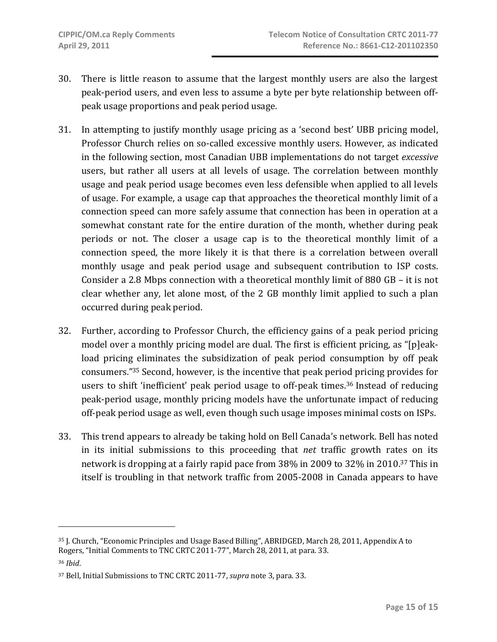- 30. There is little reason to assume that the largest monthly users are also the largest peak‐period users, and even less to assume a byte per byte relationship between off‐ peak usage proportions and peak period usage.
- 31. In attempting to justify monthly usage pricing as a 'second best' UBB pricing model, Professor Church relies on so-called excessive monthly users. However, as indicated in the following section, most Canadian UBB implementations do not target *excessive* users, but rather all users at all levels of usage. The correlation between monthly usage and peak period usage becomes even less defensible when applied to all levels of usage. For example, a usage cap that approaches the theoretical monthly limit of a connection speed can more safely assume that connection has been in operation at a somewhat constant rate for the entire duration of the month, whether during peak periods or not. The closer a usage cap is to the theoretical monthly limit of a connection speed, the more likely it is that there is a correlation between overall monthly usage and peak period usage and subsequent contribution to ISP costs. Consider a 2.8 Mbps connection with a theoretical monthly limit of 880 GB – it is not clear whether any, let alone most, of the 2 GB monthly limit applied to such a plan occurred during peak period.
- 32. Further, according to Professor Church, the efficiency gains of a peak period pricing model over a monthly pricing model are dual. The first is efficient pricing, as "[p]eak‐ load pricing eliminates the subsidization of peak period consumption by off peak consumers."35 Second, however, is the incentive that peak period pricing provides for users to shift 'inefficient' peak period usage to off-peak times.<sup>36</sup> Instead of reducing peak‐period usage, monthly pricing models have the unfortunate impact of reducing off‐peak period usage as well, even though such usage imposes minimal costs on ISPs.
- 33. This trend appears to already be taking hold on Bell Canada's network. Bell has noted in its initial submissions to this proceeding that *net* traffic growth rates on its network is dropping at a fairly rapid pace from 38% in 2009 to 32% in 2010.37 This in itself is troubling in that network traffic from 2005‐2008 in Canada appears to have

 $\overline{a}$ 

<sup>35</sup> J. Church, "Economic Principles and Usage Based Billing", ABRIDGED, March 28, 2011, Appendix A to Rogers, "Initial Comments to TNC CRTC 2011‐77", March 28, 2011, at para. 33. <sup>36</sup> *Ibid*.

<sup>37</sup> Bell, Initial Submissions to TNC CRTC 2011‐77, *supra* note 3, para. 33.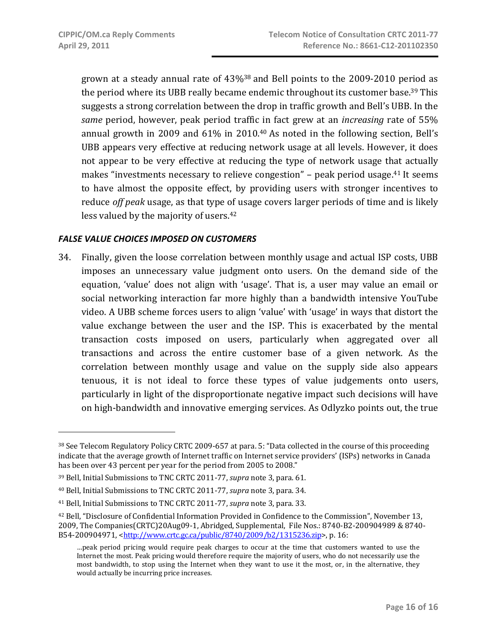grown at a steady annual rate of  $43\%$ <sup>38</sup> and Bell points to the 2009-2010 period as the period where its UBB really became endemic throughout its customer base.<sup>39</sup> This suggests a strong correlation between the drop in traffic growth and Bell's UBB. In the *same* period, however, peak period traffic in fact grew at an *increasing* rate of 55% annual growth in 2009 and 61% in 2010.40 As noted in the following section, Bell's UBB appears very effective at reducing network usage at all levels. However, it does not appear to be very effective at reducing the type of network usage that actually makes "investments necessary to relieve congestion" – peak period usage.41 It seems to have almost the opposite effect, by providing users with stronger incentives to reduce *off peak* usage, as that type of usage covers larger periods of time and is likely less valued by the majority of users.42

### *FALSE VALUE CHOICES IMPOSED ON CUSTOMERS*

34. Finally, given the loose correlation between monthly usage and actual ISP costs, UBB imposes an unnecessary value judgment onto users. On the demand side of the equation, 'value' does not align with 'usage'. That is, a user may value an email or social networking interaction far more highly than a bandwidth intensive YouTube video. A UBB scheme forces users to align 'value' with 'usage' in ways that distort the value exchange between the user and the ISP. This is exacerbated by the mental transaction costs imposed on users, particularly when aggregated over all transactions and across the entire customer base of a given network. As the correlation between monthly usage and value on the supply side also appears tenuous, it is not ideal to force these types of value judgements onto users, particularly in light of the disproportionate negative impact such decisions will have on high‐bandwidth and innovative emerging services. As Odlyzko points out, the true

<sup>38</sup> See Telecom Regulatory Policy CRTC 2009-657 at para. 5: "Data collected in the course of this proceeding indicate that the average growth of Internet traffic on Internet service providers' (ISPs) networks in Canada has been over 43 percent per year for the period from 2005 to 2008."

<sup>39</sup> Bell, Initial Submissions to TNC CRTC 2011‐77, *supra* note 3, para. 61.

<sup>40</sup> Bell, Initial Submissions to TNC CRTC 2011‐77, *supra* note 3, para. 34.

<sup>41</sup> Bell, Initial Submissions to TNC CRTC 2011‐77, *supra* note 3, para. 33.

<sup>42</sup> Bell, "Disclosure of Confidential Information Provided in Confidence to the Commission", November 13, 2009, The Companies(CRTC)20Aug09-1, Abridged, Supplemental, File Nos.: 8740-B2-200904989 & 8740-B54‐200904971, <http://www.crtc.gc.ca/public/8740/2009/b2/1315236.zip>, p. 16:

<sup>…</sup>peak period pricing would require peak charges to occur at the time that customers wanted to use the Internet the most. Peak pricing would therefore require the majority of users, who do not necessarily use the most bandwidth, to stop using the Internet when they want to use it the most, or, in the alternative, they would actually be incurring price increases.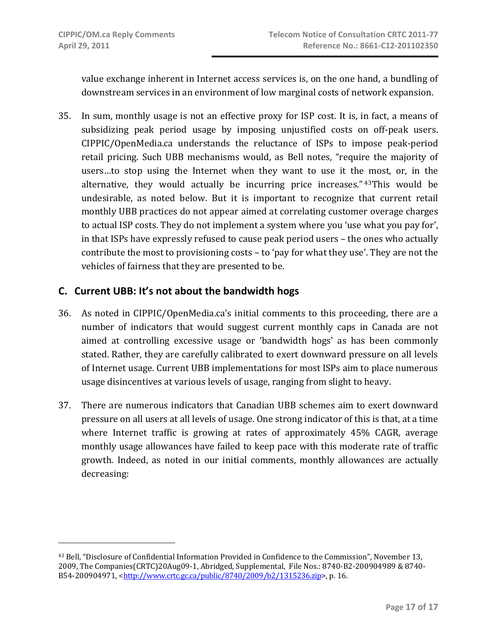value exchange inherent in Internet access services is, on the one hand, a bundling of downstream services in an environment of low marginal costs of network expansion.

35. In sum, monthly usage is not an effective proxy for ISP cost. It is, in fact, a means of subsidizing peak period usage by imposing unjustified costs on off-peak users. CIPPIC/OpenMedia.ca understands the reluctance of ISPs to impose peak‐period retail pricing. Such UBB mechanisms would, as Bell notes, "require the majority of users...to stop using the Internet when they want to use it the most, or, in the alternative, they would actually be incurring price increases." 43This would be undesirable, as noted below. But it is important to recognize that current retail monthly UBB practices do not appear aimed at correlating customer overage charges to actual ISP costs. They do not implement a system where you 'use what you pay for', in that ISPs have expressly refused to cause peak period users – the ones who actually contribute the most to provisioning costs – to 'pay for what they use'. They are not the vehicles of fairness that they are presented to be.

## **C. Current UBB: It's not about the bandwidth hogs**

- 36. As noted in CIPPIC/OpenMedia.ca's initial comments to this proceeding, there are a number of indicators that would suggest current monthly caps in Canada are not aimed at controlling excessive usage or 'bandwidth hogs' as has been commonly stated. Rather, they are carefully calibrated to exert downward pressure on all levels of Internet usage. Current UBB implementations for most ISPs aim to place numerous usage disincentives at various levels of usage, ranging from slight to heavy.
- 37. There are numerous indicators that Canadian UBB schemes aim to exert downward pressure on all users at all levels of usage. One strong indicator of this is that, at a time where Internet traffic is growing at rates of approximately 45% CAGR, average monthly usage allowances have failed to keep pace with this moderate rate of traffic growth. Indeed, as noted in our initial comments, monthly allowances are actually decreasing:

<sup>43</sup> Bell, "Disclosure of Confidential Information Provided in Confidence to the Commission", November 13, 2009, The Companies(CRTC)20Aug09‐1, Abridged, Supplemental, File Nos.: 8740‐B2‐200904989 & 8740‐ B54‐200904971, <http://www.crtc.gc.ca/public/8740/2009/b2/1315236.zip>, p. 16.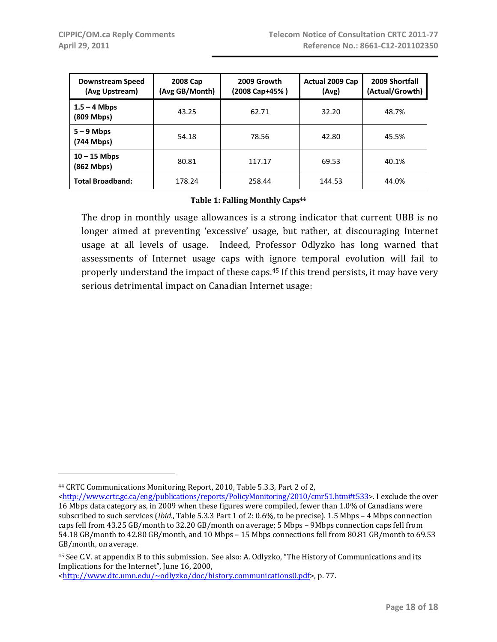| Downstream Speed<br>(Avg Upstream) | 2008 Cap<br>(Avg GB/Month) | 2009 Growth<br>(2008 Cap+45% ) | Actual 2009 Cap<br>(Avg) | 2009 Shortfall<br>(Actual/Growth) |
|------------------------------------|----------------------------|--------------------------------|--------------------------|-----------------------------------|
| $1.5 - 4$ Mbps<br>(809 Mbps)       | 43.25                      | 62.71                          | 32.20                    | 48.7%                             |
| $5 - 9$ Mbps<br>(744 Mbps)         | 54.18                      | 78.56                          | 42.80                    | 45.5%                             |
| $10 - 15$ Mbps<br>(862 Mbps)       | 80.81                      | 117.17                         | 69.53                    | 40.1%                             |
| <b>Total Broadband:</b>            | 178.24                     | 258.44                         | 144.53                   | 44.0%                             |

#### **Table 1: Falling Monthly Caps44**

The drop in monthly usage allowances is a strong indicator that current UBB is no longer aimed at preventing 'excessive' usage, but rather, at discouraging Internet usage at all levels of usage. Indeed, Professor Odlyzko has long warned that assessments of Internet usage caps with ignore temporal evolution will fail to properly understand the impact of these caps.45 If this trend persists, it may have very serious detrimental impact on Canadian Internet usage:

<http://www.dtc.umn.edu/~odlyzko/doc/history.communications0.pdf>, p. 77.

<sup>44</sup> CRTC Communications Monitoring Report, 2010, Table 5.3.3, Part 2 of 2,

 $\frac{\text{th}}{\text{t}}/$ /www.crtc.gc.ca/eng/publications/reports/PolicyMonitoring/2010/cmr51.htm#t533>. I exclude the over 16 Mbps data category as, in 2009 when these figures were compiled, fewer than 1.0% of Canadians were subscribed to such services (*Ibid*., Table 5.3.3 Part 1 of 2: 0.6%, to be precise). 1.5 Mbps – 4 Mbps connection caps fell from 43.25 GB/month to 32.20 GB/month on average; 5 Mbps – 9Mbps connection caps fell from 54.18 GB/month to 42.80 GB/month, and 10 Mbps – 15 Mbps connections fell from 80.81 GB/month to 69.53 GB/month, on average.

<sup>45</sup> See C.V. at appendix B to this submission. See also: A. Odlyzko, "The History of Communications and its Implications for the Internet", June 16, 2000,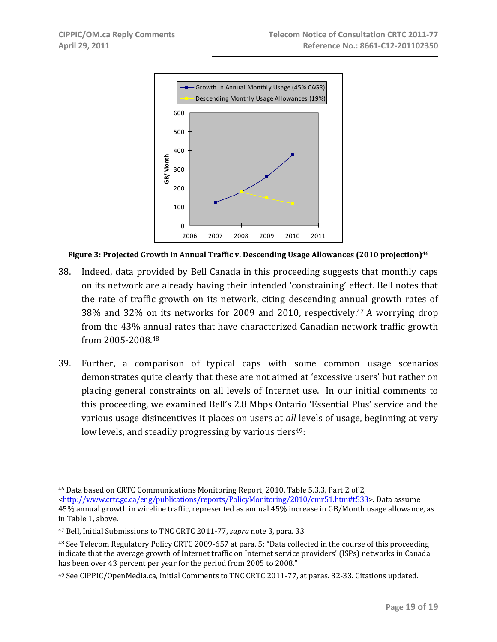

**Figure 3: Projected Growth in Annual Traffic v. Descending Usage Allowances (2010 projection)46**

- 38. Indeed, data provided by Bell Canada in this proceeding suggests that monthly caps on its network are already having their intended 'constraining' effect. Bell notes that the rate of traffic growth on its network, citing descending annual growth rates of 38% and 32% on its networks for 2009 and 2010, respectively.47 A worrying drop from the 43% annual rates that have characterized Canadian network traffic growth from 2005‐2008.48
- 39. Further, a comparison of typical caps with some common usage scenarios demonstrates quite clearly that these are not aimed at 'excessive users' but rather on placing general constraints on all levels of Internet use. In our initial comments to this proceeding, we examined Bell's 2.8 Mbps Ontario 'Essential Plus' service and the various usage disincentives it places on users at *all* levels of usage, beginning at very low levels, and steadily progressing by various tiers<sup>49</sup>:

<sup>46</sup> Data based on CRTC Communications Monitoring Report, 2010, Table 5.3.3, Part 2 of 2,

<sup>&</sup>lt;http://www.crtc.gc.ca/eng/publications/reports/PolicyMonitoring/2010/cmr51.htm#t533>. Data assume 45% annual growth in wireline traffic, represented as annual 45% increase in GB/Month usage allowance, as in Table 1, above.

<sup>47</sup> Bell, Initial Submissions to TNC CRTC 2011‐77, *supra* note 3, para. 33.

<sup>48</sup> See Telecom Regulatory Policy CRTC 2009-657 at para. 5: "Data collected in the course of this proceeding indicate that the average growth of Internet traffic on Internet service providers' (ISPs) networks in Canada has been over 43 percent per year for the period from 2005 to 2008."

<sup>49</sup> See CIPPIC/OpenMedia.ca, Initial Comments to TNC CRTC 2011‐77, at paras. 32‐33. Citations updated.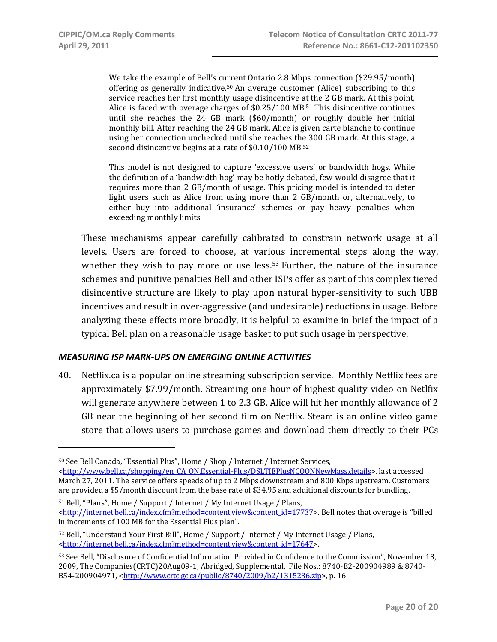We take the example of Bell's current Ontario 2.8 Mbps connection (\$29.95/month) offering as generally indicative.<sup>50</sup> An average customer (Alice) subscribing to this service reaches her first monthly usage disincentive at the 2 GB mark. At this point, Alice is faced with overage charges of  $$0.25/100$  MB.<sup>51</sup> This disincentive continues until she reaches the 24 GB mark (\$60/month) or roughly double her initial monthly bill. After reaching the 24 GB mark, Alice is given carte blanche to continue using her connection unchecked until she reaches the 300 GB mark. At this stage, a second disincentive begins at a rate of \$0.10/100 MB.52

This model is not designed to capture 'excessive users' or bandwidth hogs. While the definition of a 'bandwidth hog' may be hotly debated, few would disagree that it requires more than 2 GB/month of usage. This pricing model is intended to deter light users such as Alice from using more than 2 GB/month or, alternatively, to either buy into additional 'insurance' schemes or pay heavy penalties when exceeding monthly limits.

These mechanisms appear carefully calibrated to constrain network usage at all levels. Users are forced to choose, at various incremental steps along the way, whether they wish to pay more or use less.<sup>53</sup> Further, the nature of the insurance schemes and punitive penalties Bell and other ISPs offer as part of this complex tiered disincentive structure are likely to play upon natural hyper‐sensitivity to such UBB incentives and result in over‐aggressive (and undesirable) reductions in usage. Before analyzing these effects more broadly, it is helpful to examine in brief the impact of a typical Bell plan on a reasonable usage basket to put such usage in perspective.

#### *MEASURING ISP MARK‐UPS ON EMERGING ONLINE ACTIVITIES*

40. Netflix.ca is a popular online streaming subscription service. Monthly Netflix fees are approximately \$7.99/month. Streaming one hour of highest quality video on Netlfix will generate anywhere between 1 to 2.3 GB. Alice will hit her monthly allowance of 2 GB near the beginning of her second film on Netflix. Steam is an online video game store that allows users to purchase games and download them directly to their PCs

<sup>50</sup> See Bell Canada, "Essential Plus", Home / Shop / Internet / Internet Services, <http://www.bell.ca/shopping/en\_CA\_ON.Essential-Plus/DSLTIEPlusNCOONNewMass.details>. last accessed March 27, 2011. The service offers speeds of up to 2 Mbps downstream and 800 Kbps upstream. Customers are provided a \$5/month discount from the base rate of \$34.95 and additional discounts for bundling.

<sup>51</sup> Bell, "Plans", Home / Support / Internet / My Internet Usage / Plans, <http://internet.bell.ca/index.cfm?method=content.view&content\_id=17737>. Bell notes that overage is "billed in increments of 100 MB for the Essential Plus plan".

<sup>52</sup> Bell, "Understand Your First Bill", Home / Support / Internet / My Internet Usage / Plans, <http://internet.bell.ca/index.cfm?method=content.view&content\_id=17647>.

<sup>53</sup> See Bell, "Disclosure of Confidential Information Provided in Confidence to the Commission", November 13, 2009, The Companies(CRTC)20Aug09‐1, Abridged, Supplemental, File Nos.: 8740‐B2‐200904989 & 8740‐ B54‐200904971, <http://www.crtc.gc.ca/public/8740/2009/b2/1315236.zip>, p. 16.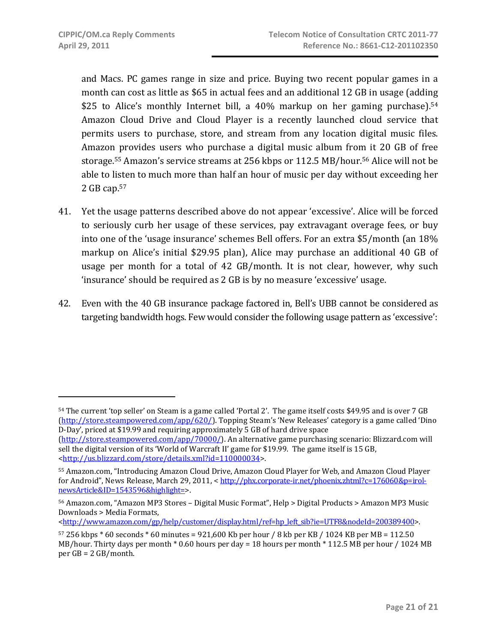and Macs. PC games range in size and price. Buying two recent popular games in a month can cost as little as \$65 in actual fees and an additional 12 GB in usage (adding \$25 to Alice's monthly Internet bill, a 40% markup on her gaming purchase).<sup>54</sup> Amazon Cloud Drive and Cloud Player is a recently launched cloud service that permits users to purchase, store, and stream from any location digital music files. Amazon provides users who purchase a digital music album from it 20 GB of free storage.55 Amazon's service streams at 256 kbps or 112.5 MB/hour.56 Alice will not be able to listen to much more than half an hour of music per day without exceeding her 2 GB cap.57

- 41. Yet the usage patterns described above do not appear 'excessive'. Alice will be forced to seriously curb her usage of these services, pay extravagant overage fees, or buy into one of the 'usage insurance' schemes Bell offers. For an extra \$5/month (an 18% markup on Alice's initial \$29.95 plan), Alice may purchase an additional 40 GB of usage per month for a total of 42 GB/month. It is not clear, however, why such 'insurance' should be required as 2 GB is by no measure 'excessive' usage.
- 42. Even with the 40 GB insurance package factored in, Bell's UBB cannot be considered as targeting bandwidth hogs. Few would consider the following usage pattern as 'excessive':

 $\text{thtn://www.amazon.com/gp/help/customer/display.html/ref=hp left sib?ie=UTF8&modeld=200389400>$ .

<sup>54</sup> The current 'top seller' on Steam is a game called 'Portal 2'. The game itself costs \$49.95 and is over 7 GB (http://store.steampowered.com/app/620/). Topping Steam's 'New Releases' category is a game called 'Dino D‐Day', priced at \$19.99 and requiring approximately 5 GB of hard drive space

<sup>(</sup>http://store.steampowered.com/app/70000/). An alternative game purchasing scenario: Blizzard.com will sell the digital version of its 'World of Warcraft II' game for \$19.99. The game itself is 15 GB, <http://us.blizzard.com/store/details.xml?id=110000034>.

<sup>55</sup> Amazon.com, "Introducing Amazon Cloud Drive, Amazon Cloud Player for Web, and Amazon Cloud Player for Android", News Release, March 29, 2011, < http://phx.corporate-ir.net/phoenix.zhtml?c=176060&p=irolnewsArticle&ID=1543596&highlight=>.

<sup>56</sup> Amazon.com, "Amazon MP3 Stores – Digital Music Format", Help > Digital Products > Amazon MP3 Music Downloads > Media Formats,

 $57\,256$  kbps  $*$  60 seconds  $*$  60 minutes = 921,600 Kb per hour / 8 kb per KB / 1024 KB per MB = 112.50 MB/hour. Thirty days per month \* 0.60 hours per day = 18 hours per month \* 112.5 MB per hour / 1024 MB per GB = 2 GB/month.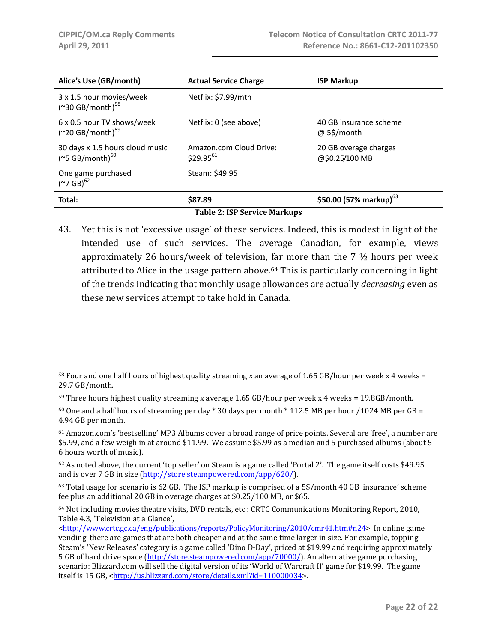| Alice's Use (GB/month)                                  | <b>Actual Service Charge</b>             | <b>ISP Markup</b>                       |  |  |  |  |  |
|---------------------------------------------------------|------------------------------------------|-----------------------------------------|--|--|--|--|--|
| 3 x 1.5 hour movies/week<br>$('30 GB/month)^{58}$       | Netflix: \$7.99/mth                      |                                         |  |  |  |  |  |
| 6 x 0.5 hour TV shows/week<br>$('20 GB/month)^{59}$     | Netflix: 0 (see above)                   | 40 GB insurance scheme<br>@ 5\$/month   |  |  |  |  |  |
| 30 days x 1.5 hours cloud music<br>$(*5 GB/month)^{60}$ | Amazon.com Cloud Drive:<br>$$29.95^{61}$ | 20 GB overage charges<br>@\$0.25/100 MB |  |  |  |  |  |
| One game purchased<br>$({}^{\sim}7~\text{GB})^{62}$     | Steam: \$49.95                           |                                         |  |  |  |  |  |
| Total:                                                  | \$87.89                                  | \$50.00 (57% markup) <sup>63</sup>      |  |  |  |  |  |
|                                                         | Tahlo 2. ICD Corvice Marlzune            |                                         |  |  |  |  |  |

**Table 2: ISP Service Markups**

43. Yet this is not 'excessive usage' of these services. Indeed, this is modest in light of the intended use of such services. The average Canadian, for example, views approximately 26 hours/week of television, far more than the  $7 \frac{1}{2}$  hours per week attributed to Alice in the usage pattern above.64 This is particularly concerning in light of the trends indicating that monthly usage allowances are actually *decreasing* even as these new services attempt to take hold in Canada.

<sup>58</sup> Four and one half hours of highest quality streaming x an average of 1.65 GB/hour per week x 4 weeks = 29.7 GB/month.

<sup>59</sup> Three hours highest quality streaming x average 1.65 GB/hour per week x 4 weeks = 19.8GB/month.

 $60$  One and a half hours of streaming per day  $*$  30 days per month  $*$  112.5 MB per hour /1024 MB per GB = 4.94 GB per month.

<sup>61</sup> Amazon.com's 'bestselling' MP3 Albums cover a broad range of price points. Several are 'free', a number are \$5.99, and a few weigh in at around \$11.99. We assume \$5.99 as a median and 5 purchased albums (about 5‐ 6 hours worth of music).

<sup>62</sup> As noted above, the current 'top seller' on Steam is a game called 'Portal 2'. The game itself costs \$49.95 and is over 7 GB in size (http://store.steampowered.com/app/620/).

<sup>63</sup> Total usage for scenario is 62 GB. The ISP markup is comprised of a 5\$/month 40 GB 'insurance' scheme fee plus an additional 20 GB in overage charges at \$0.25/100 MB, or \$65.

<sup>64</sup> Not including movies theatre visits, DVD rentals, etc.: CRTC Communications Monitoring Report, 2010, Table 4.3, 'Television at a Glance',

<sup>&</sup>lt;http://www.crtc.gc.ca/eng/publications/reports/PolicyMonitoring/2010/cmr41.htm#n24>. In online game vending, there are games that are both cheaper and at the same time larger in size. For example, topping Steam's 'New Releases' category is a game called 'Dino D‐Day', priced at \$19.99 and requiring approximately 5 GB of hard drive space (http://store.steampowered.com/app/70000/). An alternative game purchasing scenario: Blizzard.com will sell the digital version of its 'World of Warcraft II' game for \$19.99. The game itself is 15 GB, <http://us.blizzard.com/store/details.xml?id=110000034>.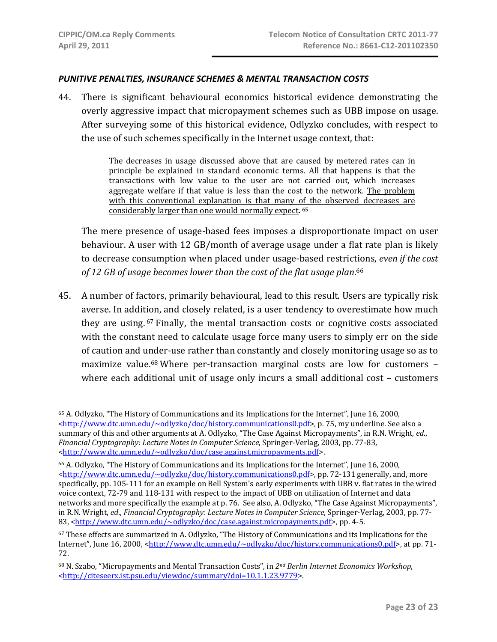$\overline{a}$ 

#### *PUNITIVE PENALTIES, INSURANCE SCHEMES & MENTAL TRANSACTION COSTS*

44. There is significant behavioural economics historical evidence demonstrating the overly aggressive impact that micropayment schemes such as UBB impose on usage. After surveying some of this historical evidence, Odlyzko concludes, with respect to the use of such schemes specifically in the Internet usage context, that:

> The decreases in usage discussed above that are caused by metered rates can in principle be explained in standard economic terms. All that happens is that the transactions with low value to the user are not carried out, which increases aggregate welfare if that value is less than the cost to the network. The problem with this conventional explanation is that many of the observed decreases are considerably larger than one would normally expect. 65

The mere presence of usage-based fees imposes a disproportionate impact on user behaviour. A user with 12 GB/month of average usage under a flat rate plan is likely to decrease consumption when placed under usage‐based restrictions, *even if the cost of 12 GB of usage becomes lower than the cost of the flat usage plan*. 66

45. A number of factors, primarily behavioural, lead to this result. Users are typically risk averse. In addition, and closely related, is a user tendency to overestimate how much they are using.<sup>67</sup> Finally, the mental transaction costs or cognitive costs associated with the constant need to calculate usage force many users to simply err on the side of caution and under‐use rather than constantly and closely monitoring usage so as to maximize value.<sup>68</sup> Where per-transaction marginal costs are low for customers where each additional unit of usage only incurs a small additional cost - customers

<sup>65</sup> A. Odlyzko, "The History of Communications and its Implications for the Internet", June 16, 2000, <http://www.dtc.umn.edu/~odlyzko/doc/history.communications0.pdf>, p. 75, my underline. See also a summary of this and other arguments at A. Odlyzko, "The Case Against Micropayments", in R.N. Wright, *ed*., *Financial Cryptography: Lecture Notes in Computer Science*, Springer‐Verlag, 2003, pp. 77‐83, <http://www.dtc.umn.edu/~odlyzko/doc/case.against.micropayments.pdf>.

<sup>66</sup> A. Odlyzko, "The History of Communications and its Implications for the Internet", June 16, 2000, <http://www.dtc.umn.edu/~odlyzko/doc/history.communications0.pdf>, pp. 72‐131 generally, and, more specifically, pp. 105‐111 for an example on Bell System's early experiments with UBB v. flat rates in the wired voice context, 72‐79 and 118‐131 with respect to the impact of UBB on utilization of Internet and data networks and more specifically the example at p. 76. See also, A. Odlyzko, "The Case Against Micropayments", in R.N. Wright, *ed*., *Financial Cryptography: Lecture Notes in Computer Science*, Springer‐Verlag, 2003, pp. 77‐ 83, <http://www.dtc.umn.edu/~odlyzko/doc/case.against.micropayments.pdf>, pp. 4‐5.

<sup>67</sup> These effects are summarized in A. Odlyzko, "The History of Communications and its Implications for the Internet", June 16, 2000, <http://www.dtc.umn.edu/~odlyzko/doc/history.communications0.pdf>, at pp. 71– 72.

<sup>68</sup> N. Szabo, "Micropayments and Mental Transaction Costs", in *2nd Berlin Internet Economics Workshop*, <http://citeseerx.ist.psu.edu/viewdoc/summary?doi=10.1.1.23.9779>.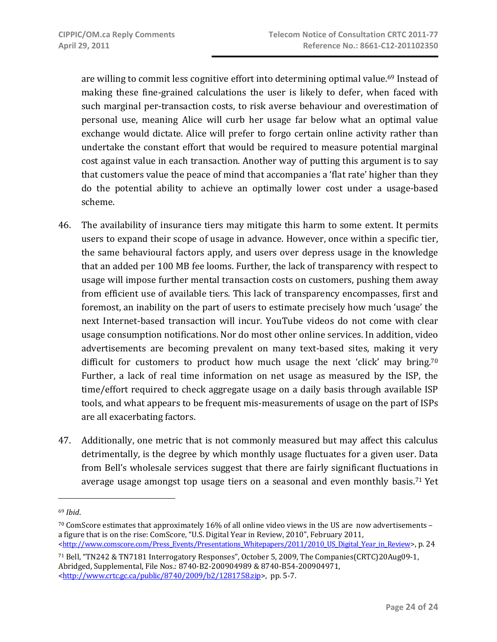are willing to commit less cognitive effort into determining optimal value.<sup>69</sup> Instead of making these fine-grained calculations the user is likely to defer, when faced with such marginal per‐transaction costs, to risk averse behaviour and overestimation of personal use, meaning Alice will curb her usage far below what an optimal value exchange would dictate. Alice will prefer to forgo certain online activity rather than undertake the constant effort that would be required to measure potential marginal cost against value in each transaction. Another way of putting this argument is to say that customers value the peace of mind that accompanies a 'flat rate' higher than they do the potential ability to achieve an optimally lower cost under a usage‐based scheme.

- 46. The availability of insurance tiers may mitigate this harm to some extent. It permits users to expand their scope of usage in advance. However, once within a specific tier, the same behavioural factors apply, and users over depress usage in the knowledge that an added per 100 MB fee looms. Further, the lack of transparency with respect to usage will impose further mental transaction costs on customers, pushing them away from efficient use of available tiers. This lack of transparency encompasses, first and foremost, an inability on the part of users to estimate precisely how much 'usage' the next Internet-based transaction will incur. YouTube videos do not come with clear usage consumption notifications. Nor do most other online services. In addition, video advertisements are becoming prevalent on many text-based sites, making it very difficult for customers to product how much usage the next 'click' may bring.<sup>70</sup> Further, a lack of real time information on net usage as measured by the ISP, the time/effort required to check aggregate usage on a daily basis through available ISP tools, and what appears to be frequent mis‐measurements of usage on the part of ISPs are all exacerbating factors.
- 47. Additionally, one metric that is not commonly measured but may affect this calculus detrimentally, is the degree by which monthly usage fluctuates for a given user. Data from Bell's wholesale services suggest that there are fairly significant fluctuations in average usage amongst top usage tiers on a seasonal and even monthly basis.<sup>71</sup> Yet

71 Bell, "TN242 & TN7181 Interrogatory Responses", October 5, 2009, The Companies(CRTC)20Aug09‐1, Abridged, Supplemental, File Nos.: 8740‐B2‐200904989 & 8740‐B54‐200904971, <http://www.crtc.gc.ca/public/8740/2009/b2/1281758.zip>, pp. 5‐7.

<sup>69</sup> *Ibid*.

<sup>70</sup> ComScore estimates that approximately 16% of all online video views in the US are now advertisements – a figure that is on the rise: ComScore, "U.S. Digital Year in Review, 2010", February 2011, <http://www.comscore.com/Press\_Events/Presentations\_Whitepapers/2011/2010\_US\_Digital\_Year\_in\_Review>, p. 24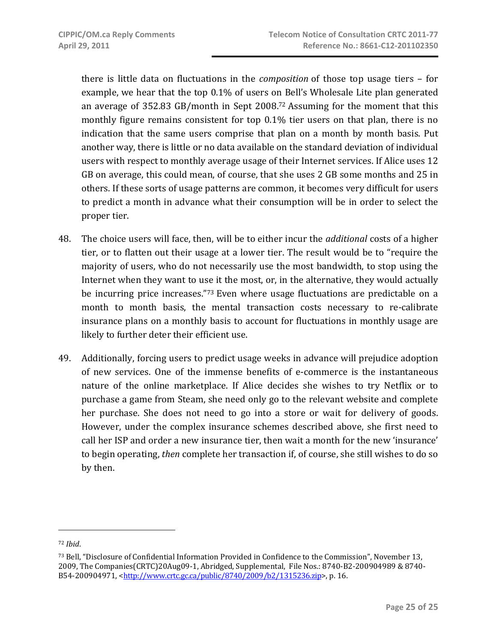there is little data on fluctuations in the *composition* of those top usage tiers – for example, we hear that the top 0.1% of users on Bell's Wholesale Lite plan generated an average of 352.83 GB/month in Sept 2008.72 Assuming for the moment that this monthly figure remains consistent for top 0.1% tier users on that plan, there is no indication that the same users comprise that plan on a month by month basis. Put another way, there is little or no data available on the standard deviation of individual users with respect to monthly average usage of their Internet services. If Alice uses 12 GB on average, this could mean, of course, that she uses 2 GB some months and 25 in others. If these sorts of usage patterns are common, it becomes very difficult for users to predict a month in advance what their consumption will be in order to select the proper tier.

- 48. The choice users will face, then, will be to either incur the *additional* costs of a higher tier, or to flatten out their usage at a lower tier. The result would be to "require the majority of users, who do not necessarily use the most bandwidth, to stop using the Internet when they want to use it the most, or, in the alternative, they would actually be incurring price increases."73 Even where usage fluctuations are predictable on a month to month basis, the mental transaction costs necessary to re-calibrate insurance plans on a monthly basis to account for fluctuations in monthly usage are likely to further deter their efficient use.
- 49. Additionally, forcing users to predict usage weeks in advance will prejudice adoption of new services. One of the immense benefits of e‐commerce is the instantaneous nature of the online marketplace. If Alice decides she wishes to try Netflix or to purchase a game from Steam, she need only go to the relevant website and complete her purchase. She does not need to go into a store or wait for delivery of goods. However, under the complex insurance schemes described above, she first need to call her ISP and order a new insurance tier, then wait a month for the new 'insurance' to begin operating, *then* complete her transaction if, of course, she still wishes to do so by then.

<sup>72</sup> *Ibid*.

<sup>73</sup> Bell, "Disclosure of Confidential Information Provided in Confidence to the Commission", November 13, 2009, The Companies(CRTC)20Aug09‐1, Abridged, Supplemental, File Nos.: 8740‐B2‐200904989 & 8740‐ B54-200904971, <http://www.crtc.gc.ca/public/8740/2009/b2/1315236.zip>, p. 16.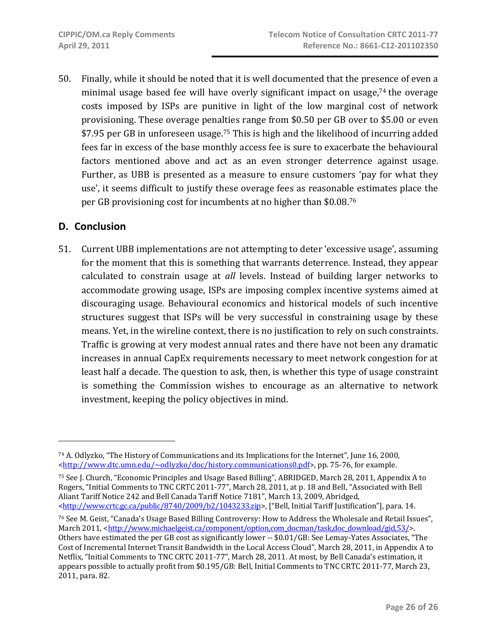50. Finally, while it should be noted that it is well documented that the presence of even a minimal usage based fee will have overly significant impact on usage, $74$  the overage costs imposed by ISPs are punitive in light of the low marginal cost of network provisioning. These overage penalties range from \$0.50 per GB over to \$5.00 or even \$7.95 per GB in unforeseen usage.<sup>75</sup> This is high and the likelihood of incurring added fees far in excess of the base monthly access fee is sure to exacerbate the behavioural factors mentioned above and act as an even stronger deterrence against usage. Further, as UBB is presented as a measure to ensure customers 'pay for what they use', it seems difficult to justify these overage fees as reasonable estimates place the per GB provisioning cost for incumbents at no higher than \$0.08. 76

## **D. Conclusion**

51. Current UBB implementations are not attempting to deter 'excessive usage', assuming for the moment that this is something that warrants deterrence. Instead, they appear calculated to constrain usage at *all* levels. Instead of building larger networks to accommodate growing usage, ISPs are imposing complex incentive systems aimed at discouraging usage. Behavioural economics and historical models of such incentive structures suggest that ISPs will be very successful in constraining usage by these means. Yet, in the wireline context, there is no justification to rely on such constraints. Traffic is growing at very modest annual rates and there have not been any dramatic increases in annual CapEx requirements necessary to meet network congestion for at least half a decade. The question to ask, then, is whether this type of usage constraint is something the Commission wishes to encourage as an alternative to network investment, keeping the policy objectives in mind.

<sup>74</sup> A. Odlyzko, "The History of Communications and its Implications for the Internet", June 16, 2000, <http://www.dtc.umn.edu/~odlyzko/doc/history.communications0.pdf>, pp. 75‐76, for example.

<sup>75</sup> See J. Church, "Economic Principles and Usage Based Billing", ABRIDGED, March 28, 2011, Appendix A to Rogers, "Initial Comments to TNC CRTC 2011‐77", March 28, 2011, at p. 18 and Bell, "Associated with Bell Aliant Tariff Notice 242 and Bell Canada Tariff Notice 7181", March 13, 2009, Abridged, <http://www.crtc.gc.ca/public/8740/2009/b2/1043233.zip>, ["Bell, Initial Tariff Justification"], para. 14.

<sup>76</sup> See M. Geist, "Canada's Usage Based Billing Controversy: How to Address the Wholesale and Retail Issues", March 2011, <http://www.michaelgeist.ca/component/option.com\_docman/task,doc\_download/gid,53/>. Others have estimated the per GB cost as significantly lower -- \$0.01/GB: See Lemay-Yates Associates, "The Cost of Incremental Internet Transit Bandwidth in the Local Access Cloud", March 28, 2011, in Appendix A to Netflix, "Initial Comments to TNC CRTC 2011‐77", March 28, 2011. At most, by Bell Canada's estimation, it appears possible to actually profit from \$0.195/GB: Bell, Initial Comments to TNC CRTC 2011‐77, March 23, 2011, para. 82.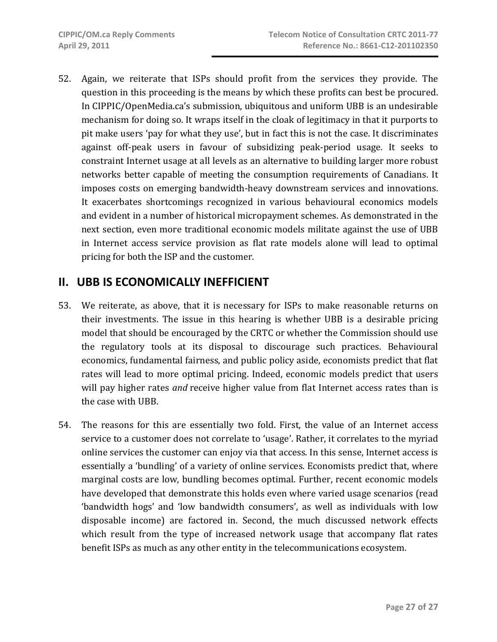52. Again, we reiterate that ISPs should profit from the services they provide. The question in this proceeding is the means by which these profits can best be procured. In CIPPIC/OpenMedia.ca's submission, ubiquitous and uniform UBB is an undesirable mechanism for doing so. It wraps itself in the cloak of legitimacy in that it purports to pit make users 'pay for what they use', but in fact this is not the case. It discriminates against off‐peak users in favour of subsidizing peak‐period usage. It seeks to constraint Internet usage at all levels as an alternative to building larger more robust networks better capable of meeting the consumption requirements of Canadians. It imposes costs on emerging bandwidth‐heavy downstream services and innovations. It exacerbates shortcomings recognized in various behavioural economics models and evident in a number of historical micropayment schemes. As demonstrated in the next section, even more traditional economic models militate against the use of UBB in Internet access service provision as flat rate models alone will lead to optimal pricing for both the ISP and the customer.

## **II. UBB IS ECONOMICALLY INEFFICIENT**

- 53. We reiterate, as above, that it is necessary for ISPs to make reasonable returns on their investments. The issue in this hearing is whether UBB is a desirable pricing model that should be encouraged by the CRTC or whether the Commission should use the regulatory tools at its disposal to discourage such practices. Behavioural economics, fundamental fairness, and public policy aside, economists predict that flat rates will lead to more optimal pricing. Indeed, economic models predict that users will pay higher rates *and* receive higher value from flat Internet access rates than is the case with UBB.
- 54. The reasons for this are essentially two fold. First, the value of an Internet access service to a customer does not correlate to 'usage'. Rather, it correlates to the myriad online services the customer can enjoy via that access. In this sense, Internet access is essentially a 'bundling' of a variety of online services. Economists predict that, where marginal costs are low, bundling becomes optimal. Further, recent economic models have developed that demonstrate this holds even where varied usage scenarios (read 'bandwidth hogs' and 'low bandwidth consumers', as well as individuals with low disposable income) are factored in. Second, the much discussed network effects which result from the type of increased network usage that accompany flat rates benefit ISPs as much as any other entity in the telecommunications ecosystem.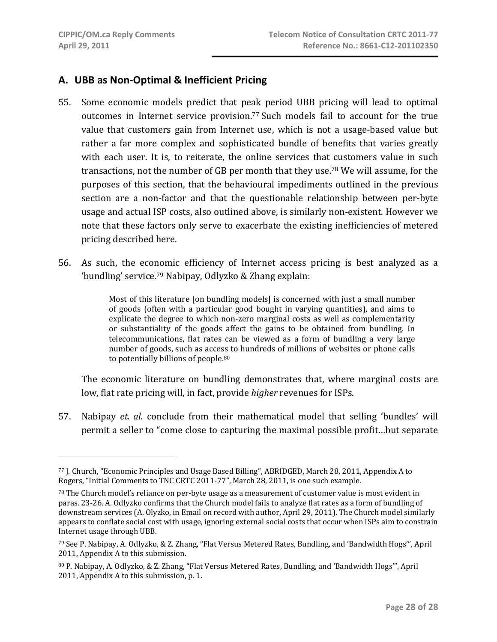## **A. UBB as Non‐Optimal & Inefficient Pricing**

- 55. Some economic models predict that peak period UBB pricing will lead to optimal outcomes in Internet service provision.<sup>77</sup> Such models fail to account for the true value that customers gain from Internet use, which is not a usage-based value but rather a far more complex and sophisticated bundle of benefits that varies greatly with each user. It is, to reiterate, the online services that customers value in such transactions, not the number of GB per month that they use.78 We will assume, for the purposes of this section, that the behavioural impediments outlined in the previous section are a non-factor and that the questionable relationship between per-byte usage and actual ISP costs, also outlined above, is similarly non‐existent. However we note that these factors only serve to exacerbate the existing inefficiencies of metered pricing described here.
- 56. As such, the economic efficiency of Internet access pricing is best analyzed as a 'bundling' service.79 Nabipay, Odlyzko & Zhang explain:

Most of this literature [on bundling models] is concerned with just a small number of goods (often with a particular good bought in varying quantities), and aims to explicate the degree to which non-zero marginal costs as well as complementarity or substantiality of the goods affect the gains to be obtained from bundling. In telecommunications, flat rates can be viewed as a form of bundling a very large number of goods, such as access to hundreds of millions of websites or phone calls to potentially billions of people.<sup>80</sup>

The economic literature on bundling demonstrates that, where marginal costs are low, flat rate pricing will, in fact, provide *higher* revenues for ISPs.

57. Nabipay *et. al.* conclude from their mathematical model that selling 'bundles' will permit a seller to "come close to capturing the maximal possible profit…but separate

<sup>77</sup> J. Church, "Economic Principles and Usage Based Billing", ABRIDGED, March 28, 2011, Appendix A to Rogers, "Initial Comments to TNC CRTC 2011‐77", March 28, 2011, is one such example.

<sup>78</sup> The Church model's reliance on per‐byte usage as a measurement of customer value is most evident in paras. 23‐26. A. Odlyzko confirms that the Church model fails to analyze flat rates as a form of bundling of downstream services (A. Olyzko, in Email on record with author, April 29, 2011). The Church model similarly appears to conflate social cost with usage, ignoring external social costs that occur when ISPs aim to constrain Internet usage through UBB.

<sup>79</sup> See P. Nabipay, A. Odlyzko, & Z. Zhang, "Flat Versus Metered Rates, Bundling, and 'Bandwidth Hogs'", April 2011, Appendix A to this submission.

<sup>80</sup> P. Nabipay, A. Odlyzko, & Z. Zhang, "Flat Versus Metered Rates, Bundling, and 'Bandwidth Hogs'", April 2011, Appendix A to this submission, p. 1.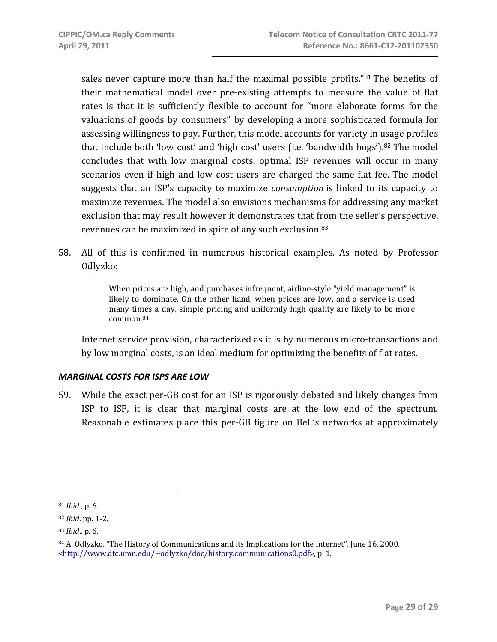sales never capture more than half the maximal possible profits."<sup>81</sup> The benefits of their mathematical model over pre‐existing attempts to measure the value of flat rates is that it is sufficiently flexible to account for "more elaborate forms for the valuations of goods by consumers" by developing a more sophisticated formula for assessing willingness to pay. Further, this model accounts for variety in usage profiles that include both 'low cost' and 'high cost' users (i.e. 'bandwidth hogs').<sup>82</sup> The model concludes that with low marginal costs, optimal ISP revenues will occur in many scenarios even if high and low cost users are charged the same flat fee. The model suggests that an ISP's capacity to maximize *consumption* is linked to its capacity to maximize revenues. The model also envisions mechanisms for addressing any market exclusion that may result however it demonstrates that from the seller's perspective, revenues can be maximized in spite of any such exclusion.83

58. All of this is confirmed in numerous historical examples. As noted by Professor Odlyzko:

> When prices are high, and purchases infrequent, airline-style "yield management" is likely to dominate. On the other hand, when prices are low, and a service is used many times a day, simple pricing and uniformly high quality are likely to be more common.84

Internet service provision, characterized as it is by numerous micro-transactions and by low marginal costs, is an ideal medium for optimizing the benefits of flat rates.

## *MARGINAL COSTS FOR ISPS ARE LOW*

59. While the exact per‐GB cost for an ISP is rigorously debated and likely changes from ISP to ISP, it is clear that marginal costs are at the low end of the spectrum. Reasonable estimates place this per‐GB figure on Bell's networks at approximately

 $\overline{a}$ 

<sup>81</sup> *Ibid*., p. 6.

<sup>82</sup> *Ibid*. pp. 1‐2.

<sup>83</sup> *Ibid*., p. 6.

<sup>&</sup>lt;sup>84</sup> A. Odlyzko, "The History of Communications and its Implications for the Internet", June 16, 2000, <http://www.dtc.umn.edu/~odlyzko/doc/history.communications0.pdf>, p. 1.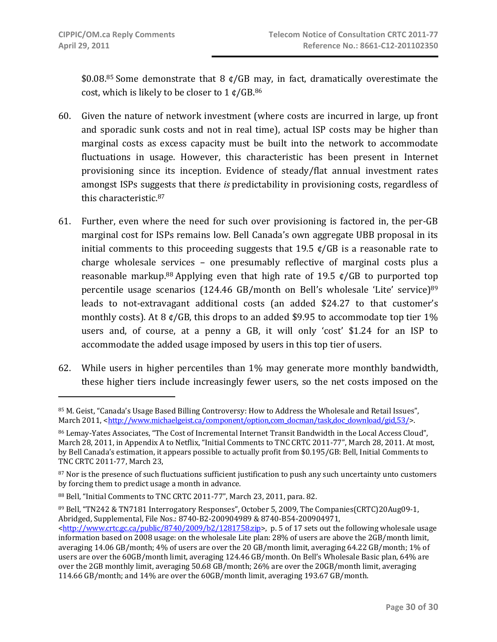$$0.08<sup>85</sup>$  Some demonstrate that 8  $\phi$ /GB may, in fact, dramatically overestimate the cost, which is likely to be closer to  $1 \text{ }\mathfrak{c}/\mathsf{GB}.^{86}$ 

- 60. Given the nature of network investment (where costs are incurred in large, up front and sporadic sunk costs and not in real time), actual ISP costs may be higher than marginal costs as excess capacity must be built into the network to accommodate fluctuations in usage. However, this characteristic has been present in Internet provisioning since its inception. Evidence of steady/flat annual investment rates amongst ISPs suggests that there *is* predictability in provisioning costs, regardless of this characteristic.87
- 61. Further, even where the need for such over provisioning is factored in, the per‐GB marginal cost for ISPs remains low. Bell Canada's own aggregate UBB proposal in its initial comments to this proceeding suggests that  $19.5 \text{ ft/GB}$  is a reasonable rate to charge wholesale services – one presumably reflective of marginal costs plus a reasonable markup.<sup>88</sup> Applying even that high rate of 19.5  $\epsilon$ /GB to purported top percentile usage scenarios (124.46 GB/month on Bell's wholesale 'Lite' service)<sup>89</sup> leads to not-extravagant additional costs (an added \$24.27 to that customer's monthly costs). At 8  $\frac{\epsilon}{GB}$ , this drops to an added \$9.95 to accommodate top tier 1% users and, of course, at a penny a GB, it will only 'cost' \$1.24 for an ISP to accommodate the added usage imposed by users in this top tier of users.
- 62. While users in higher percentiles than 1% may generate more monthly bandwidth, these higher tiers include increasingly fewer users, so the net costs imposed on the

<sup>85</sup> M. Geist, "Canada's Usage Based Billing Controversy: How to Address the Wholesale and Retail Issues", March 2011, <http://www.michaelgeist.ca/component/option.com\_docman/task,doc\_download/gid,53/>.

<sup>86</sup> Lemay‐Yates Associates, "The Cost of Incremental Internet Transit Bandwidth in the Local Access Cloud", March 28, 2011, in Appendix A to Netflix, "Initial Comments to TNC CRTC 2011-77", March 28, 2011. At most, by Bell Canada's estimation, it appears possible to actually profit from \$0.195/GB: Bell, Initial Comments to TNC CRTC 2011‐77, March 23,

<sup>&</sup>lt;sup>87</sup> Nor is the presence of such fluctuations sufficient justification to push any such uncertainty unto customers by forcing them to predict usage a month in advance.

<sup>88</sup> Bell, "Initial Comments to TNC CRTC 2011‐77", March 23, 2011, para. 82.

<sup>89</sup> Bell, "TN242 & TN7181 Interrogatory Responses", October 5, 2009, The Companies(CRTC)20Aug09‐1, Abridged, Supplemental, File Nos.: 8740‐B2‐200904989 & 8740‐B54‐200904971,

 $\text{thtn:}/\text{www.ctc.gc.ca/public/8740/2009/b2/1281758.zip}$ , p. 5 of 17 sets out the following wholesale usage information based on 2008 usage: on the wholesale Lite plan: 28% of users are above the 2GB/month limit, averaging 14.06 GB/month; 4% of users are over the 20 GB/month limit, averaging 64.22 GB/month; 1% of users are over the 60GB/month limit, averaging 124.46 GB/month. On Bell's Wholesale Basic plan, 64% are over the 2GB monthly limit, averaging 50.68 GB/month; 26% are over the 20GB/month limit, averaging 114.66 GB/month; and 14% are over the 60GB/month limit, averaging 193.67 GB/month.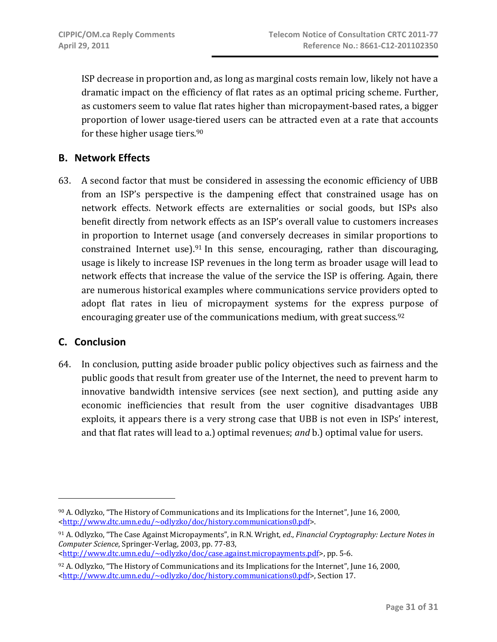ISP decrease in proportion and, as long as marginal costs remain low, likely not have a dramatic impact on the efficiency of flat rates as an optimal pricing scheme. Further, as customers seem to value flat rates higher than micropayment‐based rates, a bigger proportion of lower usage‐tiered users can be attracted even at a rate that accounts for these higher usage tiers.90

## **B. Network Effects**

63. A second factor that must be considered in assessing the economic efficiency of UBB from an ISP's perspective is the dampening effect that constrained usage has on network effects. Network effects are externalities or social goods, but ISPs also benefit directly from network effects as an ISP's overall value to customers increases in proportion to Internet usage (and conversely decreases in similar proportions to constrained Internet use). $91$  In this sense, encouraging, rather than discouraging, usage is likely to increase ISP revenues in the long term as broader usage will lead to network effects that increase the value of the service the ISP is offering. Again, there are numerous historical examples where communications service providers opted to adopt flat rates in lieu of micropayment systems for the express purpose of encouraging greater use of the communications medium, with great success.92

## **C. Conclusion**

64. In conclusion, putting aside broader public policy objectives such as fairness and the public goods that result from greater use of the Internet, the need to prevent harm to innovative bandwidth intensive services (see next section), and putting aside any economic inefficiencies that result from the user cognitive disadvantages UBB exploits, it appears there is a very strong case that UBB is not even in ISPs' interest, and that flat rates will lead to a.) optimal revenues; *and* b.) optimal value for users.

<http://www.dtc.umn.edu/~odlyzko/doc/case.against.micropayments.pdf>, pp. 5‐6.

<sup>90</sup> A. Odlyzko, "The History of Communications and its Implications for the Internet", June 16, 2000, <http://www.dtc.umn.edu/~odlyzko/doc/history.communications0.pdf>.

<sup>91</sup> A. Odlyzko, "The Case Against Micropayments", in R.N. Wright, *ed*., *Financial Cryptography: Lecture Notes in Computer Science*, Springer‐Verlag, 2003, pp. 77‐83,

 $92$  A. Odlyzko, "The History of Communications and its Implications for the Internet", June 16, 2000, <http://www.dtc.umn.edu/~odlyzko/doc/history.communications0.pdf>, Section 17.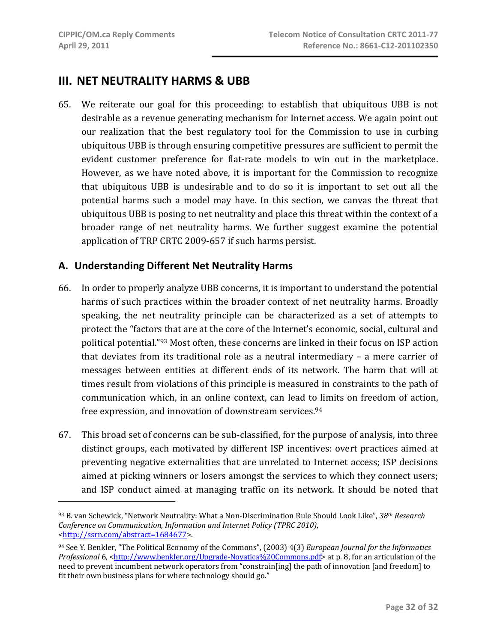$\overline{a}$ 

## **III. NET NEUTRALITY HARMS & UBB**

65. We reiterate our goal for this proceeding: to establish that ubiquitous UBB is not desirable as a revenue generating mechanism for Internet access. We again point out our realization that the best regulatory tool for the Commission to use in curbing ubiquitous UBB is through ensuring competitive pressures are sufficient to permit the evident customer preference for flat-rate models to win out in the marketplace. However, as we have noted above, it is important for the Commission to recognize that ubiquitous UBB is undesirable and to do so it is important to set out all the potential harms such a model may have. In this section, we canvas the threat that ubiquitous UBB is posing to net neutrality and place this threat within the context of a broader range of net neutrality harms. We further suggest examine the potential application of TRP CRTC 2009‐657 if such harms persist.

## **A. Understanding Different Net Neutrality Harms**

- 66. In order to properly analyze UBB concerns, it is important to understand the potential harms of such practices within the broader context of net neutrality harms. Broadly speaking, the net neutrality principle can be characterized as a set of attempts to protect the "factors that are at the core of the Internet's economic, social, cultural and political potential."93 Most often, these concerns are linked in their focus on ISP action that deviates from its traditional role as a neutral intermediary - a mere carrier of messages between entities at different ends of its network. The harm that will at times result from violations of this principle is measured in constraints to the path of communication which, in an online context, can lead to limits on freedom of action, free expression, and innovation of downstream services.94
- 67. This broad set of concerns can be sub‐classified, for the purpose of analysis, into three distinct groups, each motivated by different ISP incentives: overt practices aimed at preventing negative externalities that are unrelated to Internet access; ISP decisions aimed at picking winners or losers amongst the services to which they connect users; and ISP conduct aimed at managing traffic on its network. It should be noted that

<sup>93</sup> B. van Schewick, "Network Neutrality: What a Non‐Discrimination Rule Should Look Like", *38th Research Conference on Communication, Information and Internet Policy (TPRC 2010)*, <http://ssrn.com/abstract=1684677>.

<sup>94</sup> See Y. Benkler, "The Political Economy of the Commons", (2003) 4(3) *European Journal for the Informatics Professional* 6, <http://www.benkler.org/Upgrade-Novatica%20Commons.pdf> at p. 8, for an articulation of the need to prevent incumbent network operators from "constrain[ing] the path of innovation [and freedom] to fit their own business plans for where technology should go."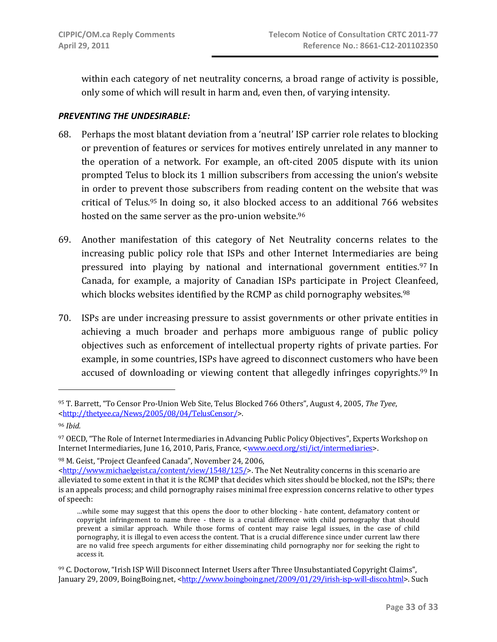within each category of net neutrality concerns, a broad range of activity is possible, only some of which will result in harm and, even then, of varying intensity.

### *PREVENTING THE UNDESIRABLE:*

- 68. Perhaps the most blatant deviation from a 'neutral' ISP carrier role relates to blocking or prevention of features or services for motives entirely unrelated in any manner to the operation of a network. For example, an oft‐cited 2005 dispute with its union prompted Telus to block its 1 million subscribers from accessing the union's website in order to prevent those subscribers from reading content on the website that was critical of Telus.95 In doing so, it also blocked access to an additional 766 websites hosted on the same server as the pro-union website.<sup>96</sup>
- 69. Another manifestation of this category of Net Neutrality concerns relates to the increasing public policy role that ISPs and other Internet Intermediaries are being pressured into playing by national and international government entities.<sup>97</sup> In Canada, for example, a majority of Canadian ISPs participate in Project Cleanfeed, which blocks websites identified by the RCMP as child pornography websites.<sup>98</sup>
- 70. ISPs are under increasing pressure to assist governments or other private entities in achieving a much broader and perhaps more ambiguous range of public policy objectives such as enforcement of intellectual property rights of private parties. For example, in some countries, ISPs have agreed to disconnect customers who have been accused of downloading or viewing content that allegedly infringes copyrights.<sup>99</sup> In

98 M. Geist, "Project Cleanfeed Canada", November 24, 2006,

<sup>95</sup> T. Barrett, "To Censor Pro‐Union Web Site, Telus Blocked 766 Others", August 4, 2005, *The Tyee*, <http://thetyee.ca/News/2005/08/04/TelusCensor/>.

<sup>96</sup> *Ibid.*

<sup>97</sup> OECD, "The Role of Internet Intermediaries in Advancing Public Policy Objectives", Experts Workshop on Internet Intermediaries, June 16, 2010, Paris, France, <www.oecd.org/sti/ict/intermediaries>.

<sup>&</sup>lt;http://www.michaelgeist.ca/content/view/1548/125/>. The Net Neutrality concerns in this scenario are alleviated to some extent in that it is the RCMP that decides which sites should be blocked, not the ISPs; there is an appeals process; and child pornography raises minimal free expression concerns relative to other types of speech:

<sup>…</sup>while some may suggest that this opens the door to other blocking ‐ hate content, defamatory content or copyright infringement to name three - there is a crucial difference with child pornography that should prevent a similar approach. While those forms of content may raise legal issues, in the case of child pornography, it is illegal to even access the content. That is a crucial difference since under current law there are no valid free speech arguments for either disseminating child pornography nor for seeking the right to access it.

<sup>99</sup> C. Doctorow, "Irish ISP Will Disconnect Internet Users after Three Unsubstantiated Copyright Claims", January 29, 2009, BoingBoing.net, <http://www.boingboing.net/2009/01/29/irish-isp-will-disco.html>. Such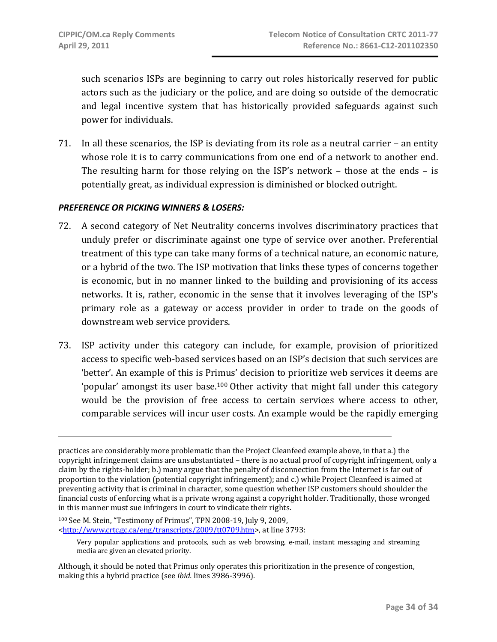such scenarios ISPs are beginning to carry out roles historically reserved for public actors such as the judiciary or the police, and are doing so outside of the democratic and legal incentive system that has historically provided safeguards against such power for individuals.

71. In all these scenarios, the ISP is deviating from its role as a neutral carrier – an entity whose role it is to carry communications from one end of a network to another end. The resulting harm for those relying on the  $ISP's$  network – those at the ends – is potentially great, as individual expression is diminished or blocked outright.

#### *PREFERENCE OR PICKING WINNERS & LOSERS:*

- 72. A second category of Net Neutrality concerns involves discriminatory practices that unduly prefer or discriminate against one type of service over another. Preferential treatment of this type can take many forms of a technical nature, an economic nature, or a hybrid of the two. The ISP motivation that links these types of concerns together is economic, but in no manner linked to the building and provisioning of its access networks. It is, rather, economic in the sense that it involves leveraging of the ISP's primary role as a gateway or access provider in order to trade on the goods of downstream web service providers.
- 73. ISP activity under this category can include, for example, provision of prioritized access to specific web‐based services based on an ISP's decision that such services are 'better'. An example of this is Primus' decision to prioritize web services it deems are 'popular' amongst its user base.100 Other activity that might fall under this category would be the provision of free access to certain services where access to other, comparable services will incur user costs. An example would be the rapidly emerging

practices are considerably more problematic than the Project Cleanfeed example above, in that a.) the copyright infringement claims are unsubstantiated – there is no actual proof of copyright infringement, only a claim by the rights‐holder; b.) many argue that the penalty of disconnection from the Internet is far out of proportion to the violation (potential copyright infringement); and c.) while Project Cleanfeed is aimed at preventing activity that is criminal in character, some question whether ISP customers should shoulder the financial costs of enforcing what is a private wrong against a copyright holder. Traditionally, those wronged in this manner must sue infringers in court to vindicate their rights.

<sup>100</sup> See M. Stein, "Testimony of Primus", TPN 2008‐19, July 9, 2009, <http://www.crtc.gc.ca/eng/transcripts/2009/tt0709.htm>, at line 3793:

Very popular applications and protocols, such as web browsing, e‐mail, instant messaging and streaming media are given an elevated priority.

Although, it should be noted that Primus only operates this prioritization in the presence of congestion, making this a hybrid practice (see *ibid.* lines 3986‐3996).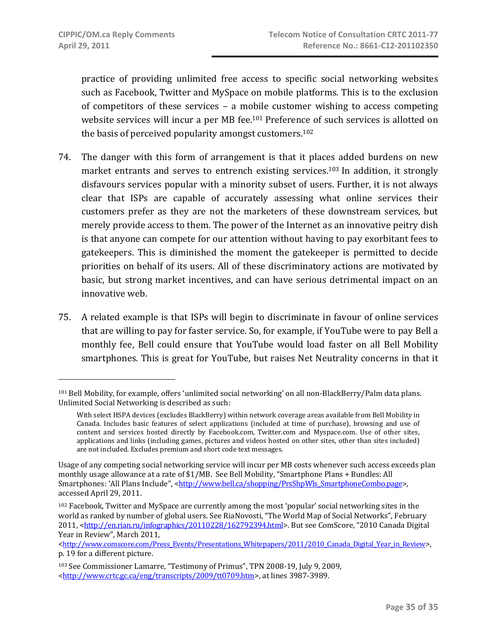practice of providing unlimited free access to specific social networking websites such as Facebook, Twitter and MySpace on mobile platforms. This is to the exclusion of competitors of these services – a mobile customer wishing to access competing website services will incur a per MB fee.<sup>101</sup> Preference of such services is allotted on the basis of perceived popularity amongst customers.102

- 74. The danger with this form of arrangement is that it places added burdens on new market entrants and serves to entrench existing services.<sup>103</sup> In addition, it strongly disfavours services popular with a minority subset of users. Further, it is not always clear that ISPs are capable of accurately assessing what online services their customers prefer as they are not the marketers of these downstream services, but merely provide access to them. The power of the Internet as an innovative peitry dish is that anyone can compete for our attention without having to pay exorbitant fees to gatekeepers. This is diminished the moment the gatekeeper is permitted to decide priorities on behalf of its users. All of these discriminatory actions are motivated by basic, but strong market incentives, and can have serious detrimental impact on an innovative web.
- 75. A related example is that ISPs will begin to discriminate in favour of online services that are willing to pay for faster service. So, for example, if YouTube were to pay Bell a monthly fee, Bell could ensure that YouTube would load faster on all Bell Mobility smartphones. This is great for YouTube, but raises Net Neutrality concerns in that it

<sup>101</sup> Bell Mobility, for example, offers 'unlimited social networking' on all non‐BlackBerry/Palm data plans. Unlimited Social Networking is described as such:

With select HSPA devices (excludes BlackBerry) within network coverage areas available from Bell Mobility in Canada. Includes basic features of select applications (included at time of purchase), browsing and use of content and services hosted directly by Facebook.com, Twitter.com and Myspace.com. Use of other sites, applications and links (including games, pictures and videos hosted on other sites, other than sites included) are not included. Excludes premium and short code text messages.

Usage of any competing social networking service will incur per MB costs whenever such access exceeds plan monthly usage allowance at a rate of \$1/MB. See Bell Mobility, "Smartphone Plans + Bundles: All Smartphones: 'All Plans Include", <http://www.bell.ca/shopping/PrsShpWls\_SmartphoneCombo.page>, accessed April 29, 2011.

<sup>102</sup> Facebook, Twitter and MySpace are currently among the most 'popular' social networking sites in the world as ranked by number of global users. See RiaNovosti, "The World Map of Social Networks", February 2011, <http://en.rian.ru/infographics/20110228/162792394.html>. But see ComScore, "2010 Canada Digital Year in Review", March 2011,

<sup>&</sup>lt;http://www.comscore.com/Press\_Events/Presentations\_Whitepapers/2011/2010\_Canada\_Digital\_Year\_in\_Review>, p. 19 for a different picture.

<sup>103</sup> See Commissioner Lamarre, "Testimony of Primus", TPN 2008‐19, July 9, 2009, <http://www.crtc.gc.ca/eng/transcripts/2009/tt0709.htm>, at lines 3987‐3989.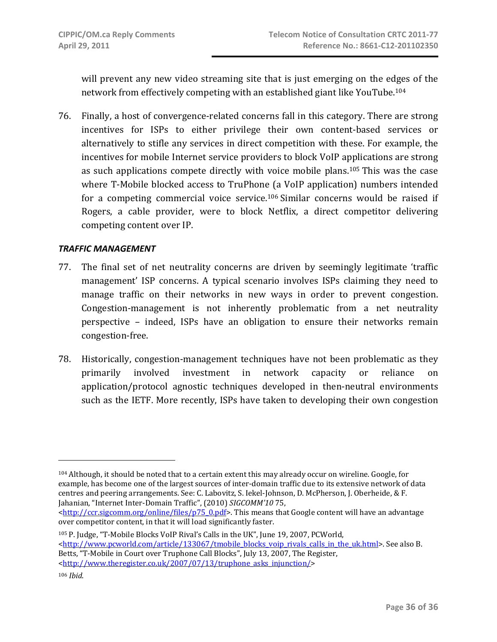will prevent any new video streaming site that is just emerging on the edges of the network from effectively competing with an established giant like YouTube.104

76. Finally, a host of convergence‐related concerns fall in this category. There are strong incentives for ISPs to either privilege their own content‐based services or alternatively to stifle any services in direct competition with these. For example, the incentives for mobile Internet service providers to block VoIP applications are strong as such applications compete directly with voice mobile plans.105 This was the case where T-Mobile blocked access to TruPhone (a VoIP application) numbers intended for a competing commercial voice service.<sup>106</sup> Similar concerns would be raised if Rogers, a cable provider, were to block Netflix, a direct competitor delivering competing content over IP.

#### *TRAFFIC MANAGEMENT*

- 77. The final set of net neutrality concerns are driven by seemingly legitimate 'traffic management' ISP concerns. A typical scenario involves ISPs claiming they need to manage traffic on their networks in new ways in order to prevent congestion. Congestion-management is not inherently problematic from a net neutrality perspective – indeed, ISPs have an obligation to ensure their networks remain congestion‐free.
- 78. Historically, congestion‐management techniques have not been problematic as they primarily involved investment in network capacity or reliance on application/protocol agnostic techniques developed in then‐neutral environments such as the IETF. More recently, ISPs have taken to developing their own congestion

105 P. Judge, "T‐Mobile Blocks VoIP Rival's Calls in the UK", June 19, 2007, PCWorld, <http://www.pcworld.com/article/133067/tmobile\_blocks\_voip\_rivals\_calls\_in\_the\_uk.html>. See also B. Betts, "T‐Mobile in Court over Truphone Call Blocks", July 13, 2007, The Register, <http://www.theregister.co.uk/2007/07/13/truphone\_asks\_injunction/>

<sup>104</sup> Although, it should be noted that to a certain extent this may already occur on wireline. Google, for example, has become one of the largest sources of inter-domain traffic due to its extensive network of data centres and peering arrangements. See: C. Labovitz, S. Iekel‐Johnson, D. McPherson, J. Oberheide, & F. Jahanian, "Internet Inter‐Domain Traffic", (2010) *SIGCOMM'10* 75,

<sup>&</sup>lt;http://ccr.sigcomm.org/online/files/p75\_0.pdf>. This means that Google content will have an advantage over competitor content, in that it will load significantly faster.

<sup>106</sup> *Ibid*.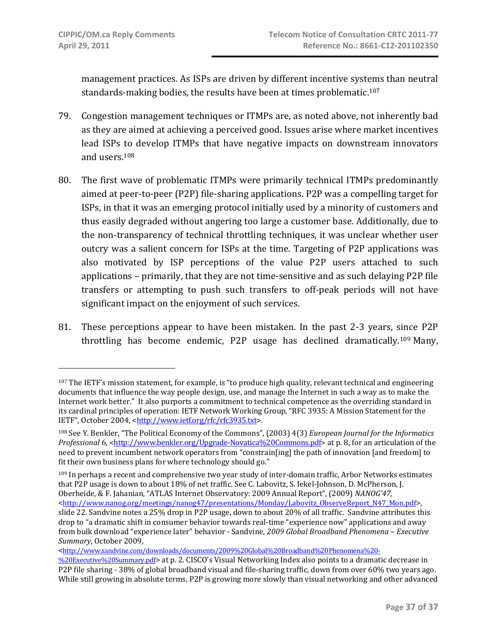management practices. As ISPs are driven by different incentive systems than neutral standards-making bodies, the results have been at times problematic.<sup>107</sup>

- 79. Congestion management techniques or ITMPs are, as noted above, not inherently bad as they are aimed at achieving a perceived good. Issues arise where market incentives lead ISPs to develop ITMPs that have negative impacts on downstream innovators and users.108
- 80. The first wave of problematic ITMPs were primarily technical ITMPs predominantly aimed at peer‐to‐peer (P2P) file‐sharing applications. P2P was a compelling target for ISPs, in that it was an emerging protocol initially used by a minority of customers and thus easily degraded without angering too large a customer base. Additionally, due to the non‐transparency of technical throttling techniques, it was unclear whether user outcry was a salient concern for ISPs at the time. Targeting of P2P applications was also motivated by ISP perceptions of the value P2P users attached to such applications – primarily, that they are not time‐sensitive and as such delaying P2P file transfers or attempting to push such transfers to off‐peak periods will not have significant impact on the enjoyment of such services.
- 81. These perceptions appear to have been mistaken. In the past 2-3 years, since P2P throttling has become endemic, P2P usage has declined dramatically.109 Many,

109 In perhaps a recent and comprehensive two year study of inter-domain traffic, Arbor Networks estimates that P2P usage is down to about 18% of net traffic. See C. Labovitz, S. Iekel‐Johnson, D. McPherson, J. Oberheide, & F. Jahanian, "ATLAS Internet Observatory: 2009 Annual Report", (2009) *NANOG'47*, <http://www.nanog.org/meetings/nanog47/presentations/Monday/Labovitz\_ObserveReport\_N47\_Mon.pdf>, slide 22. Sandvine notes a 25% drop in P2P usage, down to about 20% of all traffic. Sandvine attributes this drop to "a dramatic shift in consumer behavior towards real-time "experience now" applications and away from bulk download "experience later" behavior ‐ Sandvine, *2009 Global Broadband Phenomena – Executive Summary*, October 2009,

<http://www.sandvine.com/downloads/documents/2009%20Global%20Broadband%20Phenomena%20‐

<sup>107</sup> The IETF's mission statement, for example, is "to produce high quality, relevant technical and engineering documents that influence the way people design, use, and manage the Internet in such a way as to make the Internet work better." It also purports a commitment to technical competence as the overriding standard in its cardinal principles of operation: IETF Network Working Group, "RFC 3935: A Mission Statement for the IETF", October 2004, <http://www.ietf.org/rfc/rfc3935.txt>.

<sup>108</sup> See Y. Benkler, "The Political Economy of the Commons", (2003) 4(3) *European Journal for the Informatics Professional* 6, <http://www.benkler.org/Upgrade-Novatica%20Commons.pdf> at p. 8, for an articulation of the need to prevent incumbent network operators from "constrain[ing] the path of innovation [and freedom] to fit their own business plans for where technology should go."

<sup>%20</sup>Executive%20Summary.pdf> at p. 2. CISCO's Visual Networking Index also points to a dramatic decrease in P2P file sharing ‐ 38% of global broadband visual and file‐sharing traffic, down from over 60% two years ago. While still growing in absolute terms, P2P is growing more slowly than visual networking and other advanced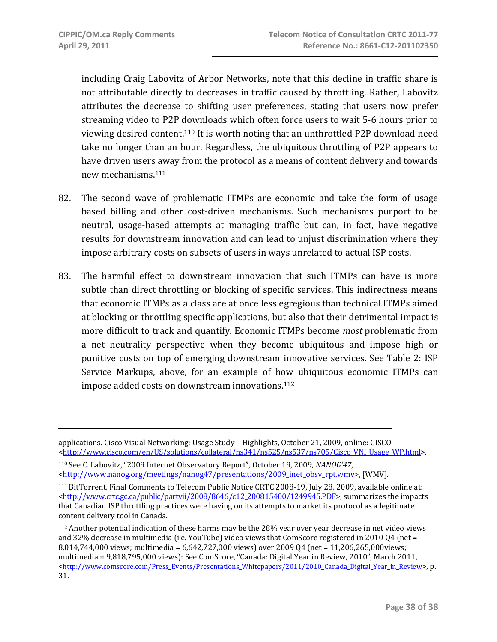$\overline{a}$ 

including Craig Labovitz of Arbor Networks, note that this decline in traffic share is not attributable directly to decreases in traffic caused by throttling. Rather, Labovitz attributes the decrease to shifting user preferences, stating that users now prefer streaming video to P2P downloads which often force users to wait 5‐6 hours prior to viewing desired content.110 It is worth noting that an unthrottled P2P download need take no longer than an hour. Regardless, the ubiquitous throttling of P2P appears to have driven users away from the protocol as a means of content delivery and towards new mechanisms.111

- 82. The second wave of problematic ITMPs are economic and take the form of usage based billing and other cost‐driven mechanisms. Such mechanisms purport to be neutral, usage‐based attempts at managing traffic but can, in fact, have negative results for downstream innovation and can lead to unjust discrimination where they impose arbitrary costs on subsets of users in ways unrelated to actual ISP costs.
- 83. The harmful effect to downstream innovation that such ITMPs can have is more subtle than direct throttling or blocking of specific services. This indirectness means that economic ITMPs as a class are at once less egregious than technical ITMPs aimed at blocking or throttling specific applications, but also that their detrimental impact is more difficult to track and quantify. Economic ITMPs become *most* problematic from a net neutrality perspective when they become ubiquitous and impose high or punitive costs on top of emerging downstream innovative services. See Table 2: ISP Service Markups, above, for an example of how ubiquitous economic ITMPs can impose added costs on downstream innovations.112

110 See C. Labovitz, "2009 Internet Observatory Report", October 19, 2009, *NANOG'47*, <http://www.nanog.org/meetings/nanog47/presentations/2009\_inet\_obsv\_rpt.wmv>, [WMV].

applications. Cisco Visual Networking: Usage Study – Highlights, October 21, 2009, online: CISCO <http://www.cisco.com/en/US/solutions/collateral/ns341/ns525/ns537/ns705/Cisco\_VNI\_Usage\_WP.html>.

<sup>111</sup> BitTorrent, Final Comments to Telecom Public Notice CRTC 2008‐19, July 28, 2009, available online at: <http://www.crtc.gc.ca/public/partvii/2008/8646/c12\_200815400/1249945.PDF>, summarizes the impacts that Canadian ISP throttling practices were having on its attempts to market its protocol as a legitimate content delivery tool in Canada.

<sup>112</sup> Another potential indication of these harms may be the 28% year over year decrease in net video views and 32% decrease in multimedia (i.e. YouTube) video views that ComScore registered in 2010 Q4 (net = 8,014,744,000 views; multimedia = 6,642,727,000 views) over 2009 Q4 (net = 11,206,265,000views; multimedia = 9,818,795,000 views): See ComScore, "Canada: Digital Year in Review, 2010", March 2011, <http://www.comscore.com/Press\_Events/Presentations\_Whitepapers/2011/2010\_Canada\_Digital\_Year\_in\_Review>, p. 31.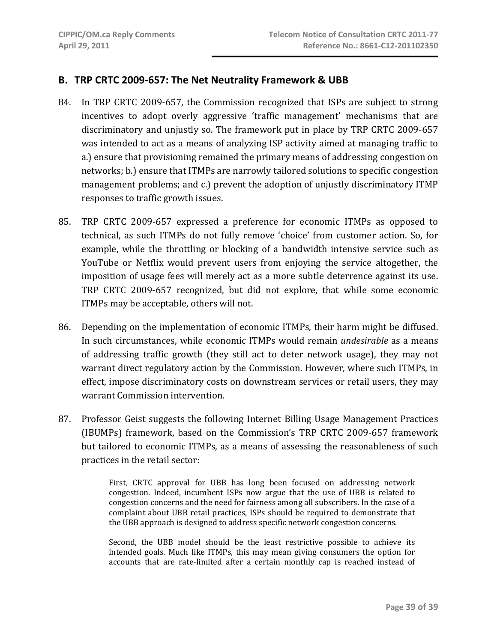## **B. TRP CRTC 2009‐657: The Net Neutrality Framework & UBB**

- 84. In TRP CRTC 2009-657, the Commission recognized that ISPs are subject to strong incentives to adopt overly aggressive 'traffic management' mechanisms that are discriminatory and unjustly so. The framework put in place by TRP CRTC 2009‐657 was intended to act as a means of analyzing ISP activity aimed at managing traffic to a.) ensure that provisioning remained the primary means of addressing congestion on networks; b.) ensure that ITMPs are narrowly tailored solutions to specific congestion management problems; and c.) prevent the adoption of unjustly discriminatory ITMP responses to traffic growth issues.
- 85. TRP CRTC 2009‐657 expressed a preference for economic ITMPs as opposed to technical, as such ITMPs do not fully remove 'choice' from customer action. So, for example, while the throttling or blocking of a bandwidth intensive service such as YouTube or Netflix would prevent users from enjoying the service altogether, the imposition of usage fees will merely act as a more subtle deterrence against its use. TRP CRTC 2009‐657 recognized, but did not explore, that while some economic ITMPs may be acceptable, others will not.
- 86. Depending on the implementation of economic ITMPs, their harm might be diffused. In such circumstances, while economic ITMPs would remain *undesirable* as a means of addressing traffic growth (they still act to deter network usage), they may not warrant direct regulatory action by the Commission. However, where such ITMPs, in effect, impose discriminatory costs on downstream services or retail users, they may warrant Commission intervention.
- 87. Professor Geist suggests the following Internet Billing Usage Management Practices (IBUMPs) framework, based on the Commission's TRP CRTC 2009‐657 framework but tailored to economic ITMPs, as a means of assessing the reasonableness of such practices in the retail sector:

First, CRTC approval for UBB has long been focused on addressing network congestion. Indeed, incumbent ISPs now argue that the use of UBB is related to congestion concerns and the need for fairness among all subscribers. In the case of a complaint about UBB retail practices, ISPs should be required to demonstrate that the UBB approach is designed to address specific network congestion concerns.

Second, the UBB model should be the least restrictive possible to achieve its intended goals. Much like ITMPs, this may mean giving consumers the option for accounts that are rate-limited after a certain monthly cap is reached instead of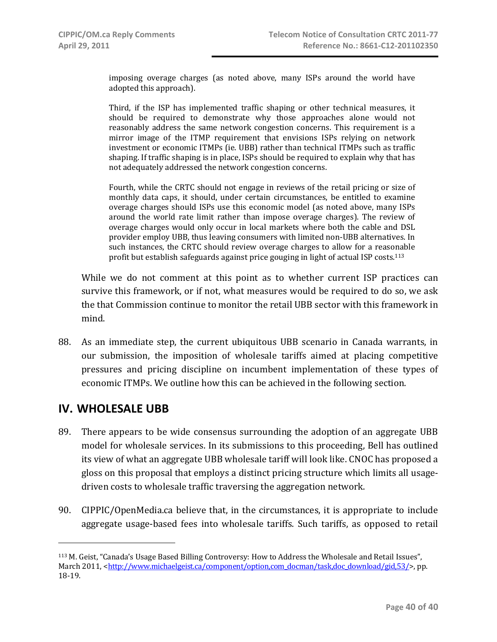imposing overage charges (as noted above, many ISPs around the world have adopted this approach).

Third, if the ISP has implemented traffic shaping or other technical measures, it should be required to demonstrate why those approaches alone would not reasonably address the same network congestion concerns. This requirement is a mirror image of the ITMP requirement that envisions ISPs relying on network investment or economic ITMPs (ie. UBB) rather than technical ITMPs such as traffic shaping. If traffic shaping is in place, ISPs should be required to explain why that has not adequately addressed the network congestion concerns.

Fourth, while the CRTC should not engage in reviews of the retail pricing or size of monthly data caps, it should, under certain circumstances, be entitled to examine overage charges should ISPs use this economic model (as noted above, many ISPs around the world rate limit rather than impose overage charges). The review of overage charges would only occur in local markets where both the cable and DSL provider employ UBB, thus leaving consumers with limited non‐UBB alternatives. In such instances, the CRTC should review overage charges to allow for a reasonable profit but establish safeguards against price gouging in light of actual ISP costs.113

While we do not comment at this point as to whether current ISP practices can survive this framework, or if not, what measures would be required to do so, we ask the that Commission continue to monitor the retail UBB sector with this framework in mind.

88. As an immediate step, the current ubiquitous UBB scenario in Canada warrants, in our submission, the imposition of wholesale tariffs aimed at placing competitive pressures and pricing discipline on incumbent implementation of these types of economic ITMPs. We outline how this can be achieved in the following section.

## **IV. WHOLESALE UBB**

- 89. There appears to be wide consensus surrounding the adoption of an aggregate UBB model for wholesale services. In its submissions to this proceeding, Bell has outlined its view of what an aggregate UBB wholesale tariff will look like. CNOC has proposed a gloss on this proposal that employs a distinct pricing structure which limits all usage‐ driven costs to wholesale traffic traversing the aggregation network.
- 90. CIPPIC/OpenMedia.ca believe that, in the circumstances, it is appropriate to include aggregate usage‐based fees into wholesale tariffs. Such tariffs, as opposed to retail

<sup>113</sup> M. Geist, "Canada's Usage Based Billing Controversy: How to Address the Wholesale and Retail Issues", March 2011, <http://www.michaelgeist.ca/component/option.com\_docman/task,doc\_download/gid,53/>, pp. 18‐19.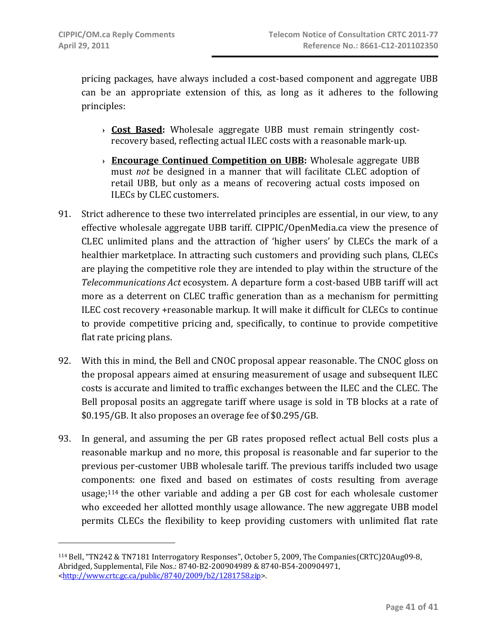pricing packages, have always included a cost‐based component and aggregate UBB can be an appropriate extension of this, as long as it adheres to the following principles:

- **› Cost Based:** Wholesale aggregate UBB must remain stringently cost‐ recovery based, reflecting actual ILEC costs with a reasonable mark‐up.
- **› Encourage Continued Competition on UBB:** Wholesale aggregate UBB must *not* be designed in a manner that will facilitate CLEC adoption of retail UBB, but only as a means of recovering actual costs imposed on ILECs by CLEC customers.
- 91. Strict adherence to these two interrelated principles are essential, in our view, to any effective wholesale aggregate UBB tariff. CIPPIC/OpenMedia.ca view the presence of CLEC unlimited plans and the attraction of 'higher users' by CLECs the mark of a healthier marketplace. In attracting such customers and providing such plans, CLECs are playing the competitive role they are intended to play within the structure of the *Telecommunications Act* ecosystem. A departure form a cost‐based UBB tariff will act more as a deterrent on CLEC traffic generation than as a mechanism for permitting ILEC cost recovery +reasonable markup. It will make it difficult for CLECs to continue to provide competitive pricing and, specifically, to continue to provide competitive flat rate pricing plans.
- 92. With this in mind, the Bell and CNOC proposal appear reasonable. The CNOC gloss on the proposal appears aimed at ensuring measurement of usage and subsequent ILEC costs is accurate and limited to traffic exchanges between the ILEC and the CLEC. The Bell proposal posits an aggregate tariff where usage is sold in TB blocks at a rate of \$0.195/GB. It also proposes an overage fee of \$0.295/GB.
- 93. In general, and assuming the per GB rates proposed reflect actual Bell costs plus a reasonable markup and no more, this proposal is reasonable and far superior to the previous per‐customer UBB wholesale tariff. The previous tariffs included two usage components: one fixed and based on estimates of costs resulting from average usage;<sup>114</sup> the other variable and adding a per GB cost for each wholesale customer who exceeded her allotted monthly usage allowance. The new aggregate UBB model permits CLECs the flexibility to keep providing customers with unlimited flat rate

<sup>114</sup> Bell, "TN242 & TN7181 Interrogatory Responses", October 5, 2009, The Companies(CRTC)20Aug09‐8, Abridged, Supplemental, File Nos.: 8740‐B2‐200904989 & 8740‐B54‐200904971, <http://www.crtc.gc.ca/public/8740/2009/b2/1281758.zip>.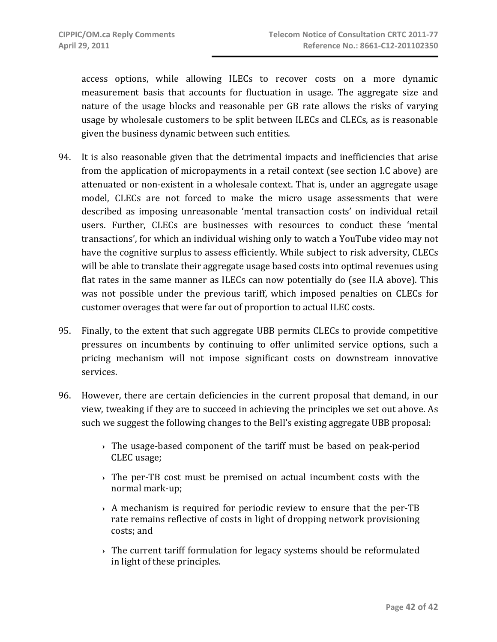access options, while allowing ILECs to recover costs on a more dynamic measurement basis that accounts for fluctuation in usage. The aggregate size and nature of the usage blocks and reasonable per GB rate allows the risks of varying usage by wholesale customers to be split between ILECs and CLECs, as is reasonable given the business dynamic between such entities.

- 94. It is also reasonable given that the detrimental impacts and inefficiencies that arise from the application of micropayments in a retail context (see section I.C above) are attenuated or non‐existent in a wholesale context. That is, under an aggregate usage model, CLECs are not forced to make the micro usage assessments that were described as imposing unreasonable 'mental transaction costs' on individual retail users. Further, CLECs are businesses with resources to conduct these 'mental transactions', for which an individual wishing only to watch a YouTube video may not have the cognitive surplus to assess efficiently. While subject to risk adversity, CLECs will be able to translate their aggregate usage based costs into optimal revenues using flat rates in the same manner as ILECs can now potentially do (see II.A above). This was not possible under the previous tariff, which imposed penalties on CLECs for customer overages that were far out of proportion to actual ILEC costs.
- 95. Finally, to the extent that such aggregate UBB permits CLECs to provide competitive pressures on incumbents by continuing to offer unlimited service options, such a pricing mechanism will not impose significant costs on downstream innovative services.
- 96. However, there are certain deficiencies in the current proposal that demand, in our view, tweaking if they are to succeed in achieving the principles we set out above. As such we suggest the following changes to the Bell's existing aggregate UBB proposal:
	- **›** The usage‐based component of the tariff must be based on peak‐period CLEC usage;
	- **›** The per‐TB cost must be premised on actual incumbent costs with the normal mark‐up;
	- **›** A mechanism is required for periodic review to ensure that the per‐TB rate remains reflective of costs in light of dropping network provisioning costs; and
	- **›** The current tariff formulation for legacy systems should be reformulated in light of these principles.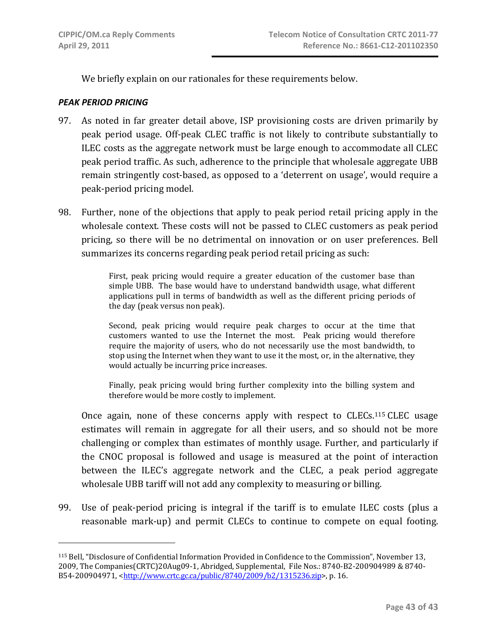We briefly explain on our rationales for these requirements below.

#### *PEAK PERIOD PRICING*

- 97. As noted in far greater detail above, ISP provisioning costs are driven primarily by peak period usage. Off‐peak CLEC traffic is not likely to contribute substantially to ILEC costs as the aggregate network must be large enough to accommodate all CLEC peak period traffic. As such, adherence to the principle that wholesale aggregate UBB remain stringently cost‐based, as opposed to a 'deterrent on usage', would require a peak‐period pricing model.
- 98. Further, none of the objections that apply to peak period retail pricing apply in the wholesale context. These costs will not be passed to CLEC customers as peak period pricing, so there will be no detrimental on innovation or on user preferences. Bell summarizes its concerns regarding peak period retail pricing as such:

First, peak pricing would require a greater education of the customer base than simple UBB. The base would have to understand bandwidth usage, what different applications pull in terms of bandwidth as well as the different pricing periods of the day (peak versus non peak).

Second, peak pricing would require peak charges to occur at the time that customers wanted to use the Internet the most. Peak pricing would therefore require the majority of users, who do not necessarily use the most bandwidth, to stop using the Internet when they want to use it the most, or, in the alternative, they would actually be incurring price increases.

Finally, peak pricing would bring further complexity into the billing system and therefore would be more costly to implement.

Once again, none of these concerns apply with respect to CLECs.<sup>115</sup> CLEC usage estimates will remain in aggregate for all their users, and so should not be more challenging or complex than estimates of monthly usage. Further, and particularly if the CNOC proposal is followed and usage is measured at the point of interaction between the ILEC's aggregate network and the CLEC, a peak period aggregate wholesale UBB tariff will not add any complexity to measuring or billing.

99. Use of peak-period pricing is integral if the tariff is to emulate ILEC costs (plus a reasonable mark-up) and permit CLECs to continue to compete on equal footing.

<sup>115</sup> Bell, "Disclosure of Confidential Information Provided in Confidence to the Commission", November 13, 2009, The Companies(CRTC)20Aug09‐1, Abridged, Supplemental, File Nos.: 8740‐B2‐200904989 & 8740‐ B54‐200904971, <http://www.crtc.gc.ca/public/8740/2009/b2/1315236.zip>, p. 16.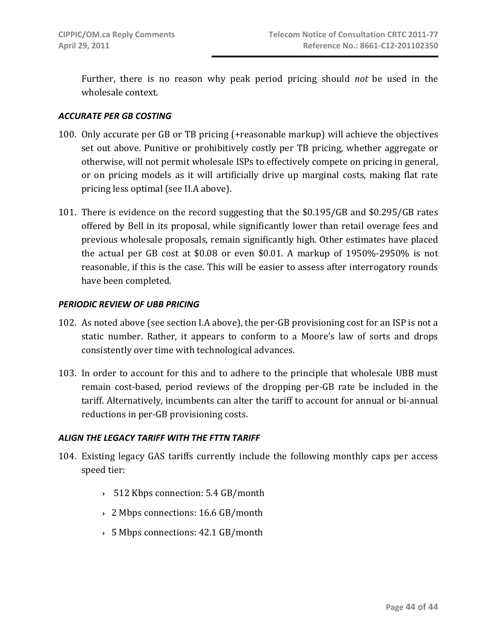Further, there is no reason why peak period pricing should *not* be used in the wholesale context.

#### *ACCURATE PER GB COSTING*

- 100. Only accurate per GB or TB pricing (+reasonable markup) will achieve the objectives set out above. Punitive or prohibitively costly per TB pricing, whether aggregate or otherwise, will not permit wholesale ISPs to effectively compete on pricing in general, or on pricing models as it will artificially drive up marginal costs, making flat rate pricing less optimal (see II.A above).
- 101. There is evidence on the record suggesting that the \$0.195/GB and \$0.295/GB rates offered by Bell in its proposal, while significantly lower than retail overage fees and previous wholesale proposals, remain significantly high. Other estimates have placed the actual per GB cost at  $$0.08$  or even  $$0.01$ . A markup of  $1950\%$ -2950% is not reasonable, if this is the case. This will be easier to assess after interrogatory rounds have been completed.

#### *PERIODIC REVIEW OF UBB PRICING*

- 102. As noted above (see section I.A above), the per‐GB provisioning cost for an ISP is not a static number. Rather, it appears to conform to a Moore's law of sorts and drops consistently over time with technological advances.
- 103. In order to account for this and to adhere to the principle that wholesale UBB must remain cost-based, period reviews of the dropping per-GB rate be included in the tariff. Alternatively, incumbents can alter the tariff to account for annual or bi‐annual reductions in per‐GB provisioning costs.

## *ALIGN THE LEGACY TARIFF WITH THE FTTN TARIFF*

- 104. Existing legacy GAS tariffs currently include the following monthly caps per access speed tier:
	- **›** 512 Kbps connection: 5.4 GB/month
	- **›** 2 Mbps connections: 16.6 GB/month
	- **›** 5 Mbps connections: 42.1 GB/month